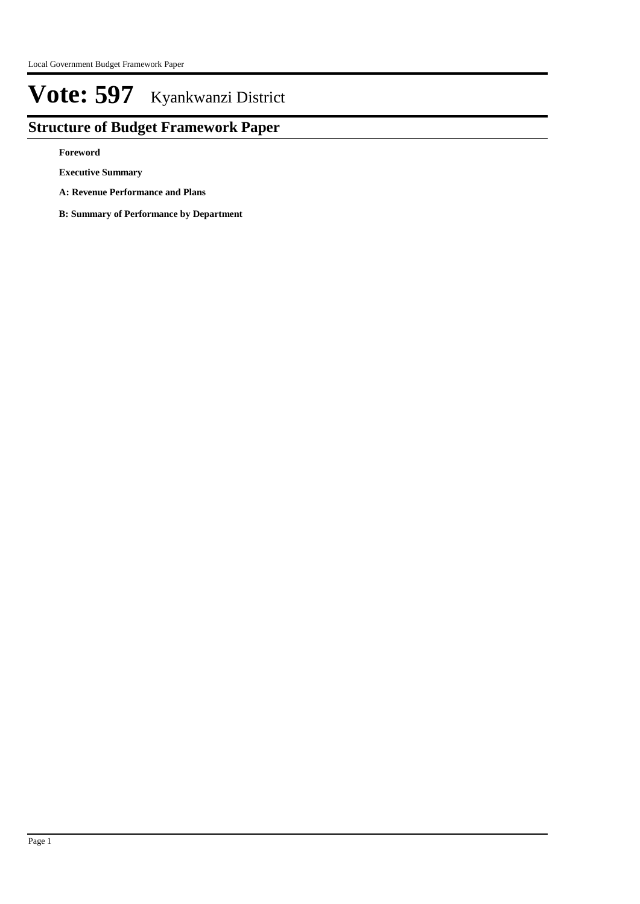## **Structure of Budget Framework Paper**

**Foreword**

**Executive Summary**

**A: Revenue Performance and Plans**

**B: Summary of Performance by Department**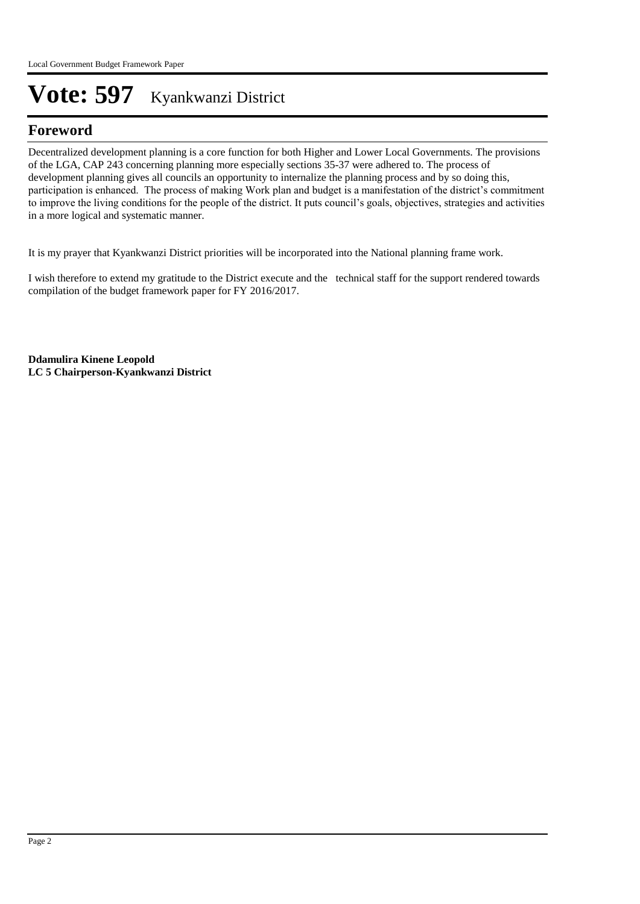## **Foreword**

Decentralized development planning is a core function for both Higher and Lower Local Governments. The provisions of the LGA, CAP 243 concerning planning more especially sections 35-37 were adhered to. The process of development planning gives all councils an opportunity to internalize the planning process and by so doing this, participation is enhanced. The process of making Work plan and budget is a manifestation of the district's commitment to improve the living conditions for the people of the district. It puts council's goals, objectives, strategies and activities in a more logical and systematic manner.

It is my prayer that Kyankwanzi District priorities will be incorporated into the National planning frame work.

I wish therefore to extend my gratitude to the District execute and the technical staff for the support rendered towards compilation of the budget framework paper for FY 2016/2017.

**Ddamulira Kinene Leopold LC 5 Chairperson-Kyankwanzi District**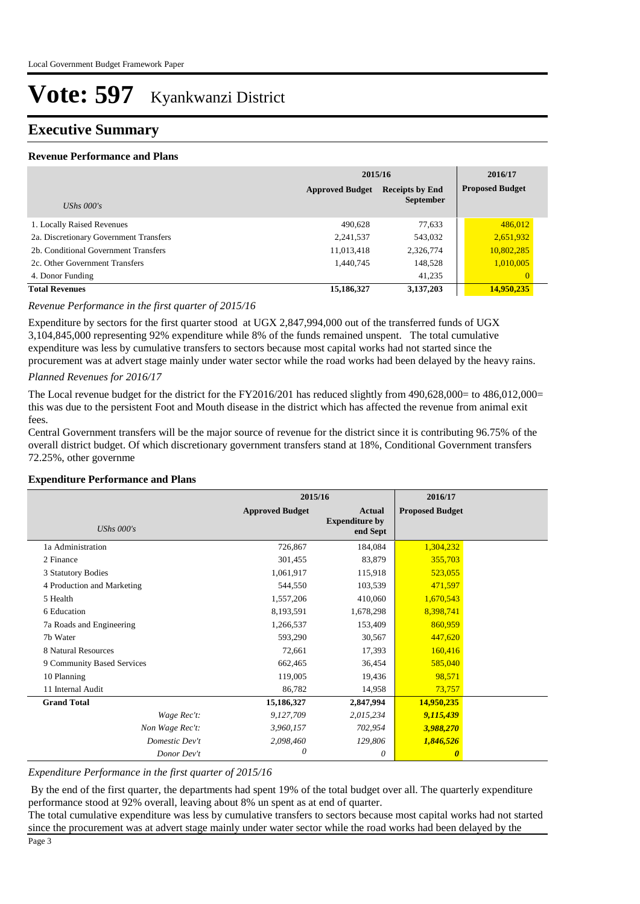### **Executive Summary**

#### **Revenue Performance and Plans**

|                                        | 2015/16                | 2016/17                                    |                        |
|----------------------------------------|------------------------|--------------------------------------------|------------------------|
|                                        | <b>Approved Budget</b> | <b>Receipts by End</b><br><b>September</b> | <b>Proposed Budget</b> |
| UShs $000's$                           |                        |                                            |                        |
| 1. Locally Raised Revenues             | 490.628                | 77,633                                     | 486,012                |
| 2a. Discretionary Government Transfers | 2,241,537              | 543,032                                    | 2,651,932              |
| 2b. Conditional Government Transfers   | 11,013,418             | 2,326,774                                  | 10,802,285             |
| 2c. Other Government Transfers         | 1,440,745              | 148,528                                    | 1,010,005              |
| 4. Donor Funding                       |                        | 41,235                                     | $\overline{0}$         |
| <b>Total Revenues</b>                  | 15,186,327             | 3,137,203                                  | 14,950,235             |

#### *Revenue Performance in the first quarter of 2015/16*

Expenditure by sectors for the first quarter stood at UGX 2,847,994,000 out of the transferred funds of UGX 3,104,845,000 representing 92% expenditure while 8% of the funds remained unspent. The total cumulative expenditure was less by cumulative transfers to sectors because most capital works had not started since the procurement was at advert stage mainly under water sector while the road works had been delayed by the heavy rains.

#### *Planned Revenues for 2016/17*

The Local revenue budget for the district for the FY2016/201 has reduced slightly from 490,628,000= to 486,012,000= this was due to the persistent Foot and Mouth disease in the district which has affected the revenue from animal exit fees.

Central Government transfers will be the major source of revenue for the district since it is contributing 96.75% of the overall district budget. Of which discretionary government transfers stand at 18%, Conditional Government transfers 72.25%, other governme

#### **Expenditure Performance and Plans**

|                            | 2015/16                |                                                    | 2016/17                |  |
|----------------------------|------------------------|----------------------------------------------------|------------------------|--|
| UShs $000's$               | <b>Approved Budget</b> | <b>Actual</b><br><b>Expenditure by</b><br>end Sept | <b>Proposed Budget</b> |  |
| 1a Administration          | 726,867                | 184,084                                            | 1,304,232              |  |
| 2 Finance                  | 301,455                | 83,879                                             | 355,703                |  |
| 3 Statutory Bodies         | 1,061,917              | 115,918                                            | 523,055                |  |
| 4 Production and Marketing | 544,550                | 103,539                                            | 471,597                |  |
| 5 Health                   | 1,557,206              | 410,060                                            | 1,670,543              |  |
| 6 Education                | 8,193,591              | 1,678,298                                          | 8,398,741              |  |
| 7a Roads and Engineering   | 1,266,537              | 153,409                                            | 860,959                |  |
| 7b Water                   | 593,290                | 30,567                                             | 447,620                |  |
| 8 Natural Resources        | 72,661                 | 17,393                                             | 160,416                |  |
| 9 Community Based Services | 662,465                | 36,454                                             | 585,040                |  |
| 10 Planning                | 119,005                | 19,436                                             | 98,571                 |  |
| 11 Internal Audit          | 86,782                 | 14,958                                             | 73,757                 |  |
| <b>Grand Total</b>         | 15,186,327             | 2,847,994                                          | 14,950,235             |  |
| Wage Rec't:                | 9,127,709              | 2,015,234                                          | 9,115,439              |  |
| Non Wage Rec't:            | 3,960,157              | 702,954                                            | 3,988,270              |  |
| Domestic Dev't             | 2,098,460              | 129,806                                            | 1,846,526              |  |
| Donor Dev't                | $\theta$               | 0                                                  | $\boldsymbol{\theta}$  |  |

#### *Expenditure Performance in the first quarter of 2015/16*

 By the end of the first quarter, the departments had spent 19% of the total budget over all. The quarterly expenditure performance stood at 92% overall, leaving about 8% un spent as at end of quarter.

The total cumulative expenditure was less by cumulative transfers to sectors because most capital works had not started since the procurement was at advert stage mainly under water sector while the road works had been delayed by the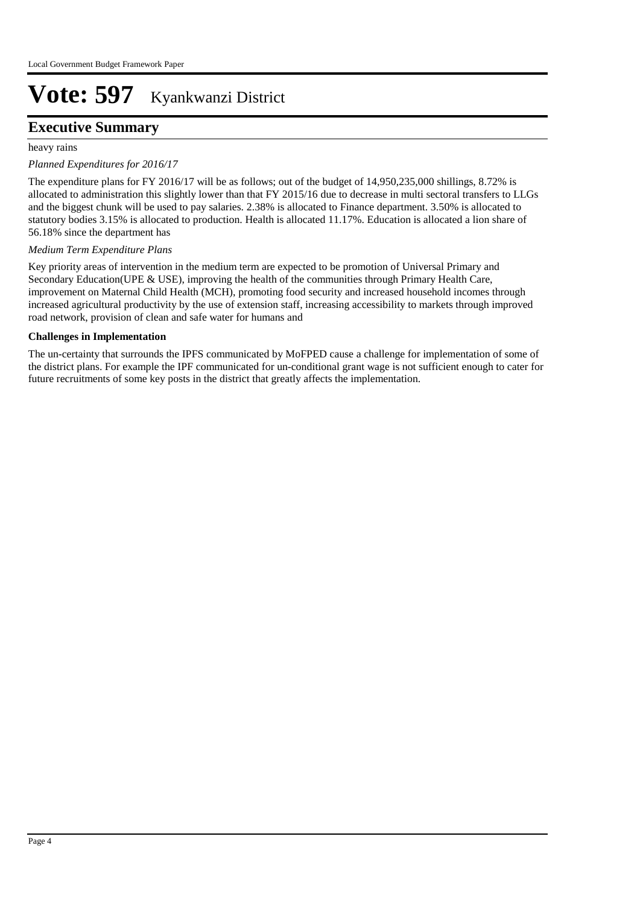### **Executive Summary**

heavy rains

#### *Planned Expenditures for 2016/17*

The expenditure plans for FY 2016/17 will be as follows; out of the budget of 14,950,235,000 shillings, 8.72% is allocated to administration this slightly lower than that FY 2015/16 due to decrease in multi sectoral transfers to LLGs and the biggest chunk will be used to pay salaries. 2.38% is allocated to Finance department. 3.50% is allocated to statutory bodies 3.15% is allocated to production. Health is allocated 11.17%. Education is allocated a lion share of 56.18% since the department has

#### *Medium Term Expenditure Plans*

Key priority areas of intervention in the medium term are expected to be promotion of Universal Primary and Secondary Education(UPE & USE), improving the health of the communities through Primary Health Care, improvement on Maternal Child Health (MCH), promoting food security and increased household incomes through increased agricultural productivity by the use of extension staff, increasing accessibility to markets through improved road network, provision of clean and safe water for humans and

#### **Challenges in Implementation**

The un-certainty that surrounds the IPFS communicated by MoFPED cause a challenge for implementation of some of the district plans. For example the IPF communicated for un-conditional grant wage is not sufficient enough to cater for future recruitments of some key posts in the district that greatly affects the implementation.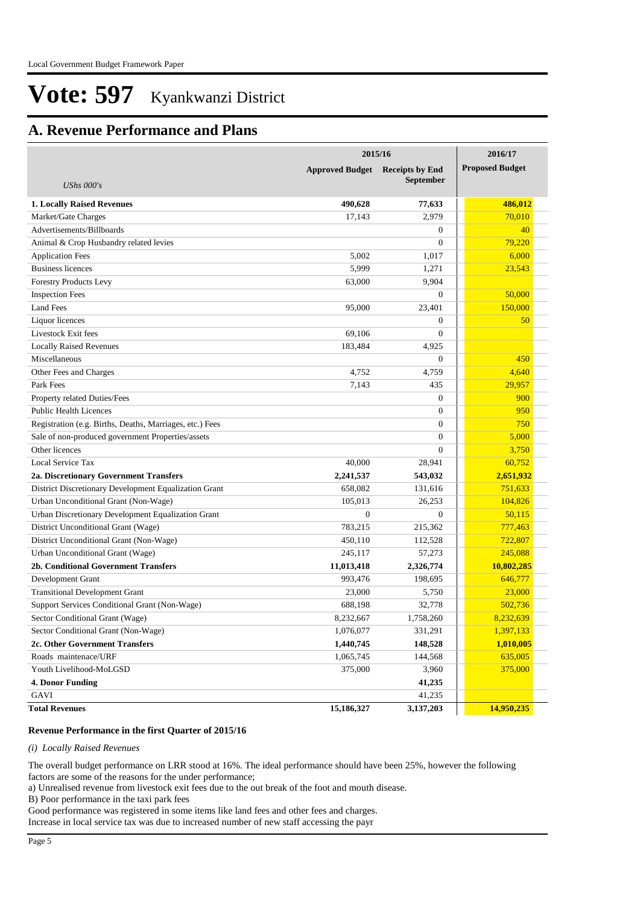## **A. Revenue Performance and Plans**

|                                                          | 2015/16                | 2016/17                |                        |
|----------------------------------------------------------|------------------------|------------------------|------------------------|
|                                                          | <b>Approved Budget</b> | <b>Receipts by End</b> | <b>Proposed Budget</b> |
| UShs $000's$                                             |                        | <b>September</b>       |                        |
|                                                          |                        |                        |                        |
| <b>1. Locally Raised Revenues</b>                        | 490.628                | 77,633                 | 486,012                |
| Market/Gate Charges                                      | 17,143                 | 2,979                  | 70,010                 |
| Advertisements/Billboards                                |                        | $\overline{0}$         | 40                     |
| Animal & Crop Husbandry related levies                   |                        | $\overline{0}$         | 79,220                 |
| <b>Application Fees</b>                                  | 5.002                  | 1,017                  | 6,000                  |
| <b>Business licences</b>                                 | 5,999                  | 1,271                  | 23,543                 |
| <b>Forestry Products Levy</b>                            | 63,000                 | 9,904                  |                        |
| <b>Inspection Fees</b>                                   |                        | $\overline{0}$         | 50,000                 |
| <b>Land Fees</b>                                         | 95,000                 | 23,401                 | 150,000                |
| Liquor licences                                          |                        | $\overline{0}$         | 50                     |
| Livestock Exit fees                                      | 69,106                 | $\overline{0}$         |                        |
| <b>Locally Raised Revenues</b>                           | 183,484                | 4,925                  |                        |
| Miscellaneous                                            |                        | $\overline{0}$         | 450                    |
| Other Fees and Charges                                   | 4,752                  | 4.759                  | 4,640                  |
| Park Fees                                                | 7,143                  | 435                    | 29,957                 |
| Property related Duties/Fees                             |                        | $\overline{0}$         | 900                    |
| <b>Public Health Licences</b>                            |                        | $\overline{0}$         | 950                    |
| Registration (e.g. Births, Deaths, Marriages, etc.) Fees |                        | $\overline{0}$         | 750                    |
| Sale of non-produced government Properties/assets        |                        | $\overline{0}$         | 5,000                  |
| Other licences                                           |                        | $\overline{0}$         | 3,750                  |
| Local Service Tax                                        | 40,000                 | 28,941                 | 60,752                 |
| 2a. Discretionary Government Transfers                   | 2,241,537              | 543,032                | 2,651,932              |
| District Discretionary Development Equalization Grant    | 658,082                | 131,616                | 751,633                |
| Urban Unconditional Grant (Non-Wage)                     | 105,013                | 26,253                 | 104,826                |
| Urban Discretionary Development Equalization Grant       | $\mathbf{0}$           | $\boldsymbol{0}$       | 50,115                 |
| District Unconditional Grant (Wage)                      | 783,215                | 215,362                | 777,463                |
| District Unconditional Grant (Non-Wage)                  | 450,110                | 112,528                | 722,807                |
| Urban Unconditional Grant (Wage)                         | 245,117                | 57,273                 | 245,088                |
| 2b. Conditional Government Transfers                     | 11,013,418             | 2,326,774              | 10,802,285             |
| Development Grant                                        | 993,476                | 198,695                | 646,777                |
| <b>Transitional Development Grant</b>                    | 23,000                 | 5,750                  | 23,000                 |
| Support Services Conditional Grant (Non-Wage)            | 688,198                | 32,778                 | 502,736                |
| Sector Conditional Grant (Wage)                          | 8,232,667              | 1,758,260              | 8,232,639              |
| Sector Conditional Grant (Non-Wage)                      | 1,076,077              | 331,291                | 1,397,133              |
| 2c. Other Government Transfers                           | 1,440,745              | 148,528                | 1,010,005              |
| Roads maintenace/URF                                     | 1,065,745              | 144,568                | 635,005                |
| Youth Livelihood-MoLGSD                                  | 375,000                | 3,960                  | 375,000                |
| 4. Donor Funding                                         |                        | 41,235                 |                        |
| GAVI                                                     |                        | 41,235                 |                        |
| <b>Total Revenues</b>                                    | 15,186,327             | 3,137,203              | 14,950,235             |

#### **Revenue Performance in the first Quarter of 2015/16**

#### *(i) Locally Raised Revenues*

The overall budget performance on LRR stood at 16%. The ideal performance should have been 25%, however the following factors are some of the reasons for the under performance;

a) Unrealised revenue from livestock exit fees due to the out break of the foot and mouth disease.

B) Poor performance in the taxi park fees

Good performance was registered in some items like land fees and other fees and charges.

Increase in local service tax was due to increased number of new staff accessing the payr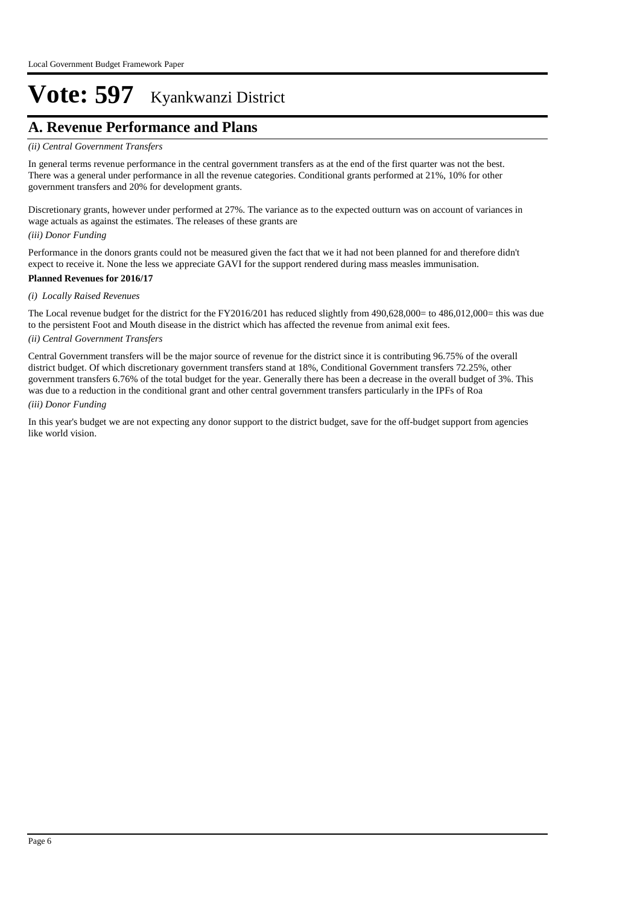## **A. Revenue Performance and Plans**

#### *(ii) Central Government Transfers*

In general terms revenue performance in the central government transfers as at the end of the first quarter was not the best. There was a general under performance in all the revenue categories. Conditional grants performed at 21%, 10% for other government transfers and 20% for development grants.

Discretionary grants, however under performed at 27%. The variance as to the expected outturn was on account of variances in wage actuals as against the estimates. The releases of these grants are

#### *(iii) Donor Funding*

Performance in the donors grants could not be measured given the fact that we it had not been planned for and therefore didn't expect to receive it. None the less we appreciate GAVI for the support rendered during mass measles immunisation.

#### **Planned Revenues for 2016/17**

#### *(i) Locally Raised Revenues*

The Local revenue budget for the district for the FY2016/201 has reduced slightly from 490,628,000= to 486,012,000= this was due to the persistent Foot and Mouth disease in the district which has affected the revenue from animal exit fees.

#### *(ii) Central Government Transfers*

Central Government transfers will be the major source of revenue for the district since it is contributing 96.75% of the overall district budget. Of which discretionary government transfers stand at 18%, Conditional Government transfers 72.25%, other government transfers 6.76% of the total budget for the year. Generally there has been a decrease in the overall budget of 3%. This was due to a reduction in the conditional grant and other central government transfers particularly in the IPFs of Roa

#### *(iii) Donor Funding*

In this year's budget we are not expecting any donor support to the district budget, save for the off-budget support from agencies like world vision.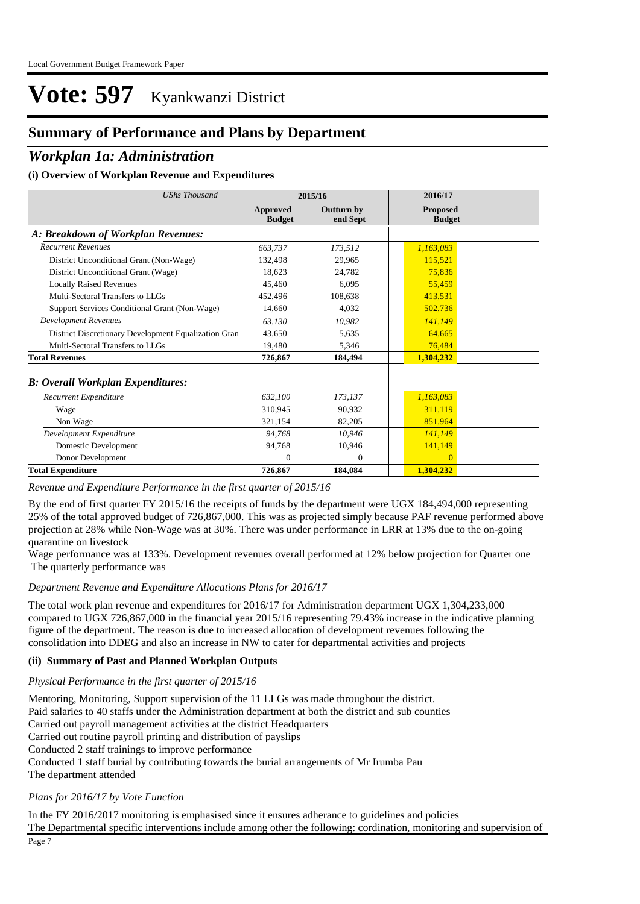### **Summary of Performance and Plans by Department**

### *Workplan 1a: Administration*

#### **(i) Overview of Workplan Revenue and Expenditures**

| <b>UShs Thousand</b><br>2015/16                      |                           |                               | 2016/17                          |
|------------------------------------------------------|---------------------------|-------------------------------|----------------------------------|
|                                                      | Approved<br><b>Budget</b> | <b>Outturn by</b><br>end Sept | <b>Proposed</b><br><b>Budget</b> |
| A: Breakdown of Workplan Revenues:                   |                           |                               |                                  |
| <b>Recurrent Revenues</b>                            | 663,737                   | 173,512                       | 1,163,083                        |
| District Unconditional Grant (Non-Wage)              | 132,498                   | 29,965                        | 115.521                          |
| District Unconditional Grant (Wage)                  | 18.623                    | 24,782                        | 75,836                           |
| <b>Locally Raised Revenues</b>                       | 45,460                    | 6,095                         | 55,459                           |
| Multi-Sectoral Transfers to LLGs                     | 452,496                   | 108,638                       | 413,531                          |
| Support Services Conditional Grant (Non-Wage)        | 14,660                    | 4,032                         | 502,736                          |
| <b>Development Revenues</b>                          | 63,130                    | 10,982                        | 141,149                          |
| District Discretionary Development Equalization Gran | 43,650                    | 5,635                         | 64,665                           |
| Multi-Sectoral Transfers to LLGs                     | 19,480                    | 5,346                         | 76,484                           |
| <b>Total Revenues</b>                                | 726,867                   | 184.494                       | 1,304,232                        |
| <b>B: Overall Workplan Expenditures:</b>             |                           |                               |                                  |
| Recurrent Expenditure                                | 632,100                   | 173,137                       | 1,163,083                        |
| Wage                                                 | 310.945                   | 90,932                        | 311,119                          |
| Non Wage                                             | 321,154                   | 82,205                        | 851,964                          |
| Development Expenditure                              | 94.768                    | 10.946                        | 141,149                          |
| Domestic Development                                 | 94,768                    | 10,946                        | 141,149                          |
| Donor Development                                    | $\Omega$                  | $\Omega$                      | $\Omega$                         |
| <b>Total Expenditure</b>                             | 726,867                   | 184,084                       | 1,304,232                        |

*Revenue and Expenditure Performance in the first quarter of 2015/16*

By the end of first quarter FY 2015/16 the receipts of funds by the department were UGX 184,494,000 representing 25% of the total approved budget of 726,867,000. This was as projected simply because PAF revenue performed above projection at 28% while Non-Wage was at 30%. There was under performance in LRR at 13% due to the on-going quarantine on livestock

Wage performance was at 133%. Development revenues overall performed at 12% below projection for Quarter one The quarterly performance was

#### *Department Revenue and Expenditure Allocations Plans for 2016/17*

The total work plan revenue and expenditures for 2016/17 for Administration department UGX 1,304,233,000 compared to UGX 726,867,000 in the financial year 2015/16 representing 79.43% increase in the indicative planning figure of the department. The reason is due to increased allocation of development revenues following the consolidation into DDEG and also an increase in NW to cater for departmental activities and projects

#### **(ii) Summary of Past and Planned Workplan Outputs**

#### *Physical Performance in the first quarter of 2015/16*

Mentoring, Monitoring, Support supervision of the 11 LLGs was made throughout the district. Paid salaries to 40 staffs under the Administration department at both the district and sub counties Carried out payroll management activities at the district Headquarters Carried out routine payroll printing and distribution of payslips Conducted 2 staff trainings to improve performance Conducted 1 staff burial by contributing towards the burial arrangements of Mr Irumba Pau The department attended

#### *Plans for 2016/17 by Vote Function*

In the FY 2016/2017 monitoring is emphasised since it ensures adherance to guidelines and policies The Departmental specific interventions include among other the following: cordination, monitoring and supervision of Page 7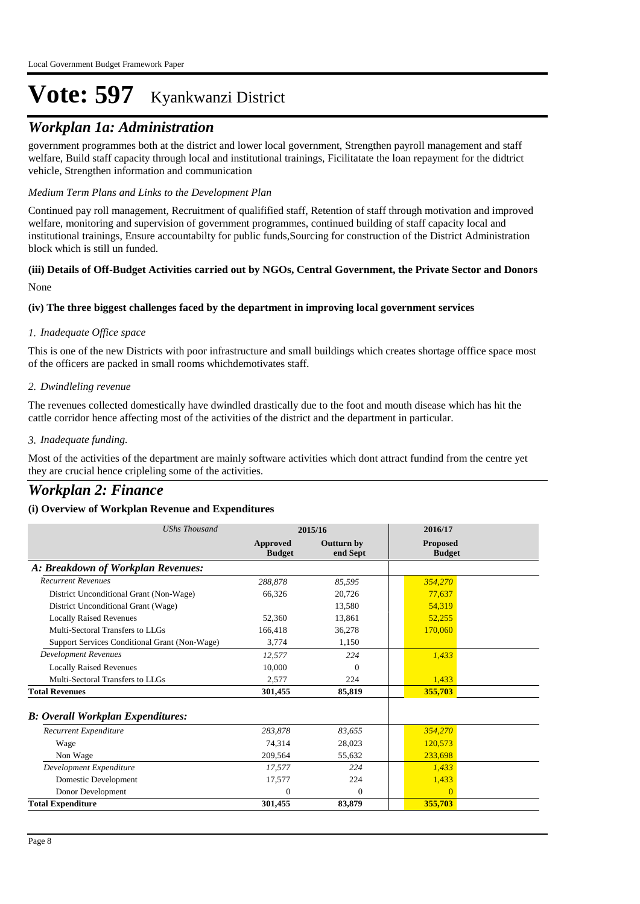### *Workplan 1a: Administration*

government programmes both at the district and lower local government, Strengthen payroll management and staff welfare, Build staff capacity through local and institutional trainings, Ficilitatate the loan repayment for the didtrict vehicle, Strengthen information and communication

#### *Medium Term Plans and Links to the Development Plan*

Continued pay roll management, Recruitment of qualifified staff, Retention of staff through motivation and improved welfare, monitoring and supervision of government programmes, continued building of staff capacity local and institutional trainings, Ensure accountabilty for public funds,Sourcing for construction of the District Administration block which is still un funded.

#### None **(iii) Details of Off-Budget Activities carried out by NGOs, Central Government, the Private Sector and Donors**

#### **(iv) The three biggest challenges faced by the department in improving local government services**

#### *Inadequate Office space 1.*

This is one of the new Districts with poor infrastructure and small buildings which creates shortage offfice space most of the officers are packed in small rooms whichdemotivates staff.

#### *Dwindleling revenue 2.*

The revenues collected domestically have dwindled drastically due to the foot and mouth disease which has hit the cattle corridor hence affecting most of the activities of the district and the department in particular.

#### *Inadequate funding. 3.*

Most of the activities of the department are mainly software activities which dont attract fundind from the centre yet they are crucial hence cripleling some of the activities.

### *Workplan 2: Finance*

| <b>UShs Thousand</b>                          | 2015/16                   |                        | 2016/17                          |  |
|-----------------------------------------------|---------------------------|------------------------|----------------------------------|--|
|                                               | Approved<br><b>Budget</b> | Outturn by<br>end Sept | <b>Proposed</b><br><b>Budget</b> |  |
| A: Breakdown of Workplan Revenues:            |                           |                        |                                  |  |
| <b>Recurrent Revenues</b>                     | 288.878                   | 85,595                 | 354,270                          |  |
| District Unconditional Grant (Non-Wage)       | 66,326                    | 20.726                 | 77.637                           |  |
| District Unconditional Grant (Wage)           |                           | 13,580                 | 54.319                           |  |
| <b>Locally Raised Revenues</b>                | 52,360                    | 13,861                 | 52,255                           |  |
| Multi-Sectoral Transfers to LLGs              | 166,418                   | 36,278                 | 170,060                          |  |
| Support Services Conditional Grant (Non-Wage) | 3,774                     | 1,150                  |                                  |  |
| Development Revenues                          | 12.577                    | 224                    | 1.433                            |  |
| <b>Locally Raised Revenues</b>                | 10.000                    | $\theta$               |                                  |  |
| Multi-Sectoral Transfers to LLGs              | 2,577                     | 224                    | 1,433                            |  |
| <b>Total Revenues</b>                         | 301,455                   | 85,819                 | 355,703                          |  |
| <b>B</b> : Overall Workplan Expenditures:     |                           |                        |                                  |  |
| Recurrent Expenditure                         | 283,878                   | 83,655                 | 354,270                          |  |
| Wage                                          | 74.314                    | 28,023                 | 120.573                          |  |
| Non Wage                                      | 209,564                   | 55,632                 | 233,698                          |  |
| Development Expenditure                       | 17,577                    | 224                    | 1,433                            |  |
| Domestic Development                          | 17,577                    | 224                    | 1,433                            |  |
| Donor Development                             | $\theta$                  | $\theta$               | $\overline{0}$                   |  |
| <b>Total Expenditure</b>                      | 301,455                   | 83,879                 | 355,703                          |  |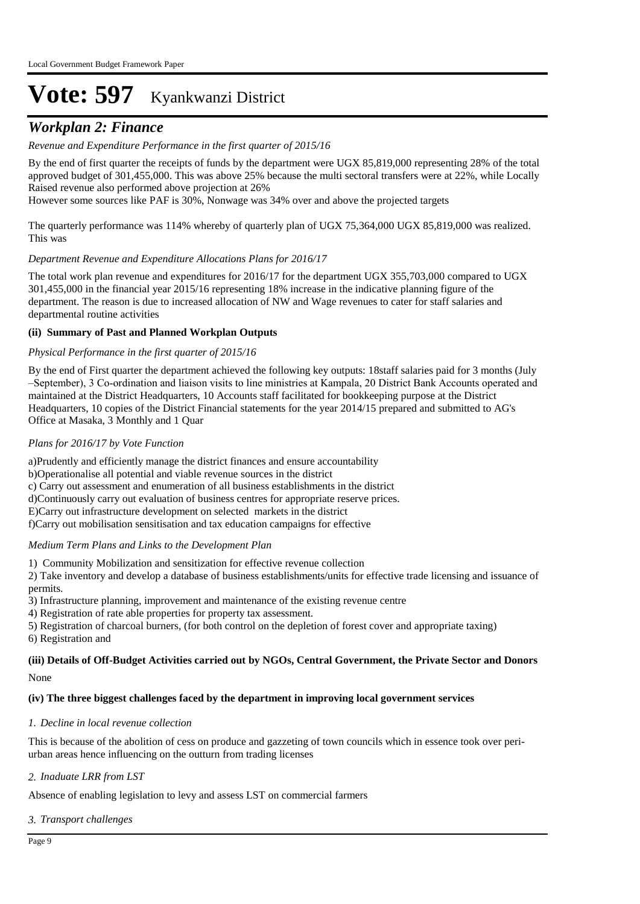### *Workplan 2: Finance*

#### *Revenue and Expenditure Performance in the first quarter of 2015/16*

By the end of first quarter the receipts of funds by the department were UGX 85,819,000 representing 28% of the total approved budget of 301,455,000. This was above 25% because the multi sectoral transfers were at 22%, while Locally Raised revenue also performed above projection at 26%

However some sources like PAF is 30%, Nonwage was 34% over and above the projected targets

The quarterly performance was 114% whereby of quarterly plan of UGX 75,364,000 UGX 85,819,000 was realized. This was

#### *Department Revenue and Expenditure Allocations Plans for 2016/17*

The total work plan revenue and expenditures for 2016/17 for the department UGX 355,703,000 compared to UGX 301,455,000 in the financial year 2015/16 representing 18% increase in the indicative planning figure of the department. The reason is due to increased allocation of NW and Wage revenues to cater for staff salaries and departmental routine activities

#### **(ii) Summary of Past and Planned Workplan Outputs**

#### *Physical Performance in the first quarter of 2015/16*

By the end of First quarter the department achieved the following key outputs: 18staff salaries paid for 3 months (July –September), 3 Co-ordination and liaison visits to line ministries at Kampala, 20 District Bank Accounts operated and maintained at the District Headquarters, 10 Accounts staff facilitated for bookkeeping purpose at the District Headquarters, 10 copies of the District Financial statements for the year 2014/15 prepared and submitted to AG's Office at Masaka, 3 Monthly and 1 Quar

#### *Plans for 2016/17 by Vote Function*

a) Prudently and efficiently manage the district finances and ensure accountability b) Operationalise all potential and viable revenue sources in the district c) Carry out assessment and enumeration of all business establishments in the district d) Continuously carry out evaluation of business centres for appropriate reserve prices. E)Carry out infrastructure development on selected markets in the district f) Carry out mobilisation sensitisation and tax education campaigns for effective

#### *Medium Term Plans and Links to the Development Plan*

1) Community Mobilization and sensitization for effective revenue collection

2) Take inventory and develop a database of business establishments/units for effective trade licensing and issuance of permits.

3) Infrastructure planning, improvement and maintenance of the existing revenue centre

4) Registration of rate able properties for property tax assessment.

5) Registration of charcoal burners, (for both control on the depletion of forest cover and appropriate taxing) 6) Registration and

#### None **(iii) Details of Off-Budget Activities carried out by NGOs, Central Government, the Private Sector and Donors**

#### **(iv) The three biggest challenges faced by the department in improving local government services**

#### *Decline in local revenue collection 1.*

This is because of the abolition of cess on produce and gazzeting of town councils which in essence took over periurban areas hence influencing on the outturn from trading licenses

#### *Inaduate LRR from LST 2.*

Absence of enabling legislation to levy and assess LST on commercial farmers

#### *Transport challenges 3.*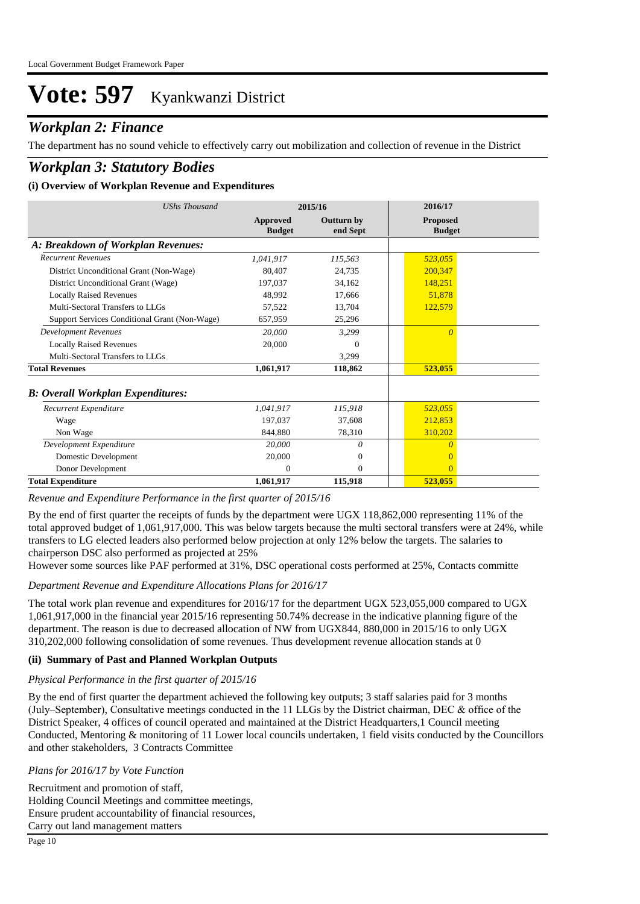### *Workplan 2: Finance*

The department has no sound vehicle to effectively carry out mobilization and collection of revenue in the District

### *Workplan 3: Statutory Bodies*

#### **(i) Overview of Workplan Revenue and Expenditures**

| UShs Thousand                                 | 2015/16                   |                               | 2016/17                          |
|-----------------------------------------------|---------------------------|-------------------------------|----------------------------------|
|                                               | Approved<br><b>Budget</b> | <b>Outturn by</b><br>end Sept | <b>Proposed</b><br><b>Budget</b> |
| A: Breakdown of Workplan Revenues:            |                           |                               |                                  |
| <b>Recurrent Revenues</b>                     | 1.041.917                 | 115,563                       | 523,055                          |
| District Unconditional Grant (Non-Wage)       | 80,407                    | 24,735                        | 200.347                          |
| District Unconditional Grant (Wage)           | 197,037                   | 34,162                        | 148,251                          |
| <b>Locally Raised Revenues</b>                | 48,992                    | 17,666                        | 51,878                           |
| Multi-Sectoral Transfers to LLGs              | 57,522                    | 13,704                        | 122,579                          |
| Support Services Conditional Grant (Non-Wage) | 657,959                   | 25,296                        |                                  |
| <b>Development Revenues</b>                   | 20,000                    | 3,299                         | $\Omega$                         |
| <b>Locally Raised Revenues</b>                | 20,000                    | $\Omega$                      |                                  |
| Multi-Sectoral Transfers to LLGs              |                           | 3,299                         |                                  |
| <b>Total Revenues</b>                         | 1,061,917                 | 118,862                       | 523,055                          |
| <b>B: Overall Workplan Expenditures:</b>      |                           |                               |                                  |
| Recurrent Expenditure                         | 1,041,917                 | 115,918                       | 523,055                          |
| Wage                                          | 197.037                   | 37,608                        | 212,853                          |
| Non Wage                                      | 844,880                   | 78,310                        | 310,202                          |
| Development Expenditure                       | 20,000                    | 0                             | 0                                |
| Domestic Development                          | 20,000                    | $\mathbf{0}$                  |                                  |
| Donor Development                             | $\Omega$                  | $\mathbf{0}$                  | $\Omega$                         |
| <b>Total Expenditure</b>                      | 1,061,917                 | 115,918                       | 523,055                          |

*Revenue and Expenditure Performance in the first quarter of 2015/16*

By the end of first quarter the receipts of funds by the department were UGX 118,862,000 representing 11% of the total approved budget of 1,061,917,000. This was below targets because the multi sectoral transfers were at 24%, while transfers to LG elected leaders also performed below projection at only 12% below the targets. The salaries to chairperson DSC also performed as projected at 25%

However some sources like PAF performed at 31%, DSC operational costs performed at 25%, Contacts committe

#### *Department Revenue and Expenditure Allocations Plans for 2016/17*

The total work plan revenue and expenditures for 2016/17 for the department UGX 523,055,000 compared to UGX 1,061,917,000 in the financial year 2015/16 representing 50.74% decrease in the indicative planning figure of the department. The reason is due to decreased allocation of NW from UGX844, 880,000 in 2015/16 to only UGX 310,202,000 following consolidation of some revenues. Thus development revenue allocation stands at 0

#### **(ii) Summary of Past and Planned Workplan Outputs**

#### *Physical Performance in the first quarter of 2015/16*

By the end of first quarter the department achieved the following key outputs; 3 staff salaries paid for 3 months (July–September), Consultative meetings conducted in the 11 LLGs by the District chairman, DEC & office of the District Speaker, 4 offices of council operated and maintained at the District Headquarters,1 Council meeting Conducted, Mentoring & monitoring of 11 Lower local councils undertaken, 1 field visits conducted by the Councillors and other stakeholders, 3 Contracts Committee

#### *Plans for 2016/17 by Vote Function*

Recruitment and promotion of staff, Holding Council Meetings and committee meetings, Ensure prudent accountability of financial resources, Carry out land management matters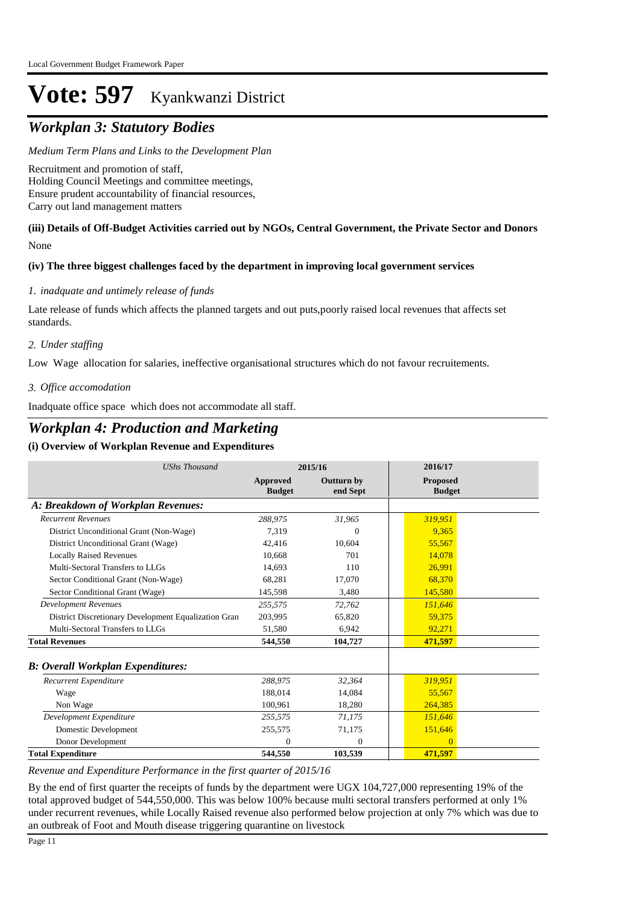## *Workplan 3: Statutory Bodies*

*Medium Term Plans and Links to the Development Plan*

Recruitment and promotion of staff, Holding Council Meetings and committee meetings, Ensure prudent accountability of financial resources, Carry out land management matters

#### None **(iii) Details of Off-Budget Activities carried out by NGOs, Central Government, the Private Sector and Donors**

#### **(iv) The three biggest challenges faced by the department in improving local government services**

#### *inadquate and untimely release of funds 1.*

Late release of funds which affects the planned targets and out puts,poorly raised local revenues that affects set standards.

#### *Under staffing 2.*

Low Wage allocation for salaries, ineffective organisational structures which do not favour recruitements.

#### *Office accomodation 3.*

Inadquate office space which does not accommodate all staff.

### *Workplan 4: Production and Marketing*

#### **(i) Overview of Workplan Revenue and Expenditures**

| <b>UShs Thousand</b>                                 | 2015/16                          |                               | 2016/17                          |
|------------------------------------------------------|----------------------------------|-------------------------------|----------------------------------|
|                                                      | <b>Approved</b><br><b>Budget</b> | <b>Outturn by</b><br>end Sept | <b>Proposed</b><br><b>Budget</b> |
| A: Breakdown of Workplan Revenues:                   |                                  |                               |                                  |
| <b>Recurrent Revenues</b>                            | 288,975                          | 31,965                        | 319,951                          |
| District Unconditional Grant (Non-Wage)              | 7,319                            | $\Omega$                      | 9.365                            |
| District Unconditional Grant (Wage)                  | 42,416                           | 10,604                        | 55,567                           |
| <b>Locally Raised Revenues</b>                       | 10,668                           | 701                           | 14,078                           |
| Multi-Sectoral Transfers to LLGs                     | 14.693                           | 110                           | 26,991                           |
| Sector Conditional Grant (Non-Wage)                  | 68.281                           | 17,070                        | 68,370                           |
| Sector Conditional Grant (Wage)                      | 145,598                          | 3,480                         | 145,580                          |
| <b>Development Revenues</b>                          | 255,575                          | 72,762                        | 151,646                          |
| District Discretionary Development Equalization Gran | 203,995                          | 65,820                        | 59,375                           |
| Multi-Sectoral Transfers to LLGs                     | 51,580                           | 6,942                         | 92,271                           |
| <b>Total Revenues</b>                                | 544,550                          | 104,727                       | 471,597                          |
| <b>B</b> : Overall Workplan Expenditures:            |                                  |                               |                                  |
| Recurrent Expenditure                                | 288,975                          | 32,364                        | 319,951                          |
| Wage                                                 | 188,014                          | 14,084                        | 55,567                           |
| Non Wage                                             | 100.961                          | 18,280                        | 264,385                          |
| Development Expenditure                              | 255,575                          | 71,175                        | 151,646                          |
| Domestic Development                                 | 255,575                          | 71,175                        | 151,646                          |
| Donor Development                                    | $\Omega$                         | $\mathbf{0}$                  | $\Omega$                         |
| <b>Total Expenditure</b>                             | 544,550                          | 103,539                       | 471,597                          |

*Revenue and Expenditure Performance in the first quarter of 2015/16*

By the end of first quarter the receipts of funds by the department were UGX 104,727,000 representing 19% of the total approved budget of 544,550,000. This was below 100% because multi sectoral transfers performed at only 1% under recurrent revenues, while Locally Raised revenue also performed below projection at only 7% which was due to an outbreak of Foot and Mouth disease triggering quarantine on livestock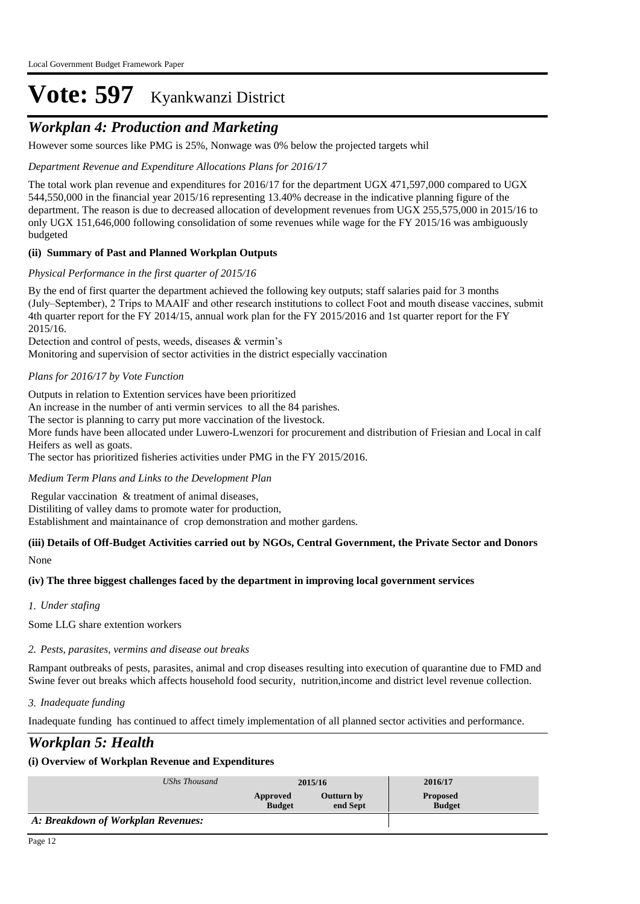## *Workplan 4: Production and Marketing*

However some sources like PMG is 25%, Nonwage was 0% below the projected targets whil

*Department Revenue and Expenditure Allocations Plans for 2016/17*

The total work plan revenue and expenditures for 2016/17 for the department UGX 471,597,000 compared to UGX 544,550,000 in the financial year 2015/16 representing 13.40% decrease in the indicative planning figure of the department. The reason is due to decreased allocation of development revenues from UGX 255,575,000 in 2015/16 to only UGX 151,646,000 following consolidation of some revenues while wage for the FY 2015/16 was ambiguously budgeted

#### **(ii) Summary of Past and Planned Workplan Outputs**

#### *Physical Performance in the first quarter of 2015/16*

By the end of first quarter the department achieved the following key outputs; staff salaries paid for 3 months (July–September), 2 Trips to MAAIF and other research institutions to collect Foot and mouth disease vaccines, submit 4th quarter report for the FY 2014/15, annual work plan for the FY 2015/2016 and 1st quarter report for the FY 2015/16.

Detection and control of pests, weeds, diseases & vermin's

Monitoring and supervision of sector activities in the district especially vaccination

#### *Plans for 2016/17 by Vote Function*

Outputs in relation to Extention services have been prioritized

An increase in the number of anti vermin services to all the 84 parishes.

The sector is planning to carry put more vaccination of the livestock.

More funds have been allocated under Luwero-Lwenzori for procurement and distribution of Friesian and Local in calf Heifers as well as goats.

The sector has prioritized fisheries activities under PMG in the FY 2015/2016.

#### *Medium Term Plans and Links to the Development Plan*

 Regular vaccination & treatment of animal diseases, Distiliting of valley dams to promote water for production, Establishment and maintainance of crop demonstration and mother gardens.

#### None **(iii) Details of Off-Budget Activities carried out by NGOs, Central Government, the Private Sector and Donors**

#### **(iv) The three biggest challenges faced by the department in improving local government services**

*Under stafing 1.*

Some LLG share extention workers

#### *Pests, parasites, vermins and disease out breaks 2.*

Rampant outbreaks of pests, parasites, animal and crop diseases resulting into execution of quarantine due to FMD and Swine fever out breaks which affects household food security, nutrition,income and district level revenue collection.

#### *Inadequate funding 3.*

Inadequate funding has continued to affect timely implementation of all planned sector activities and performance.

### *Workplan 5: Health*

| UShs Thousand                      | 2015/16                   |                        | 2016/17                          |
|------------------------------------|---------------------------|------------------------|----------------------------------|
|                                    | Approved<br><b>Budget</b> | Outturn by<br>end Sept | <b>Proposed</b><br><b>Budget</b> |
| A: Breakdown of Workplan Revenues: |                           |                        |                                  |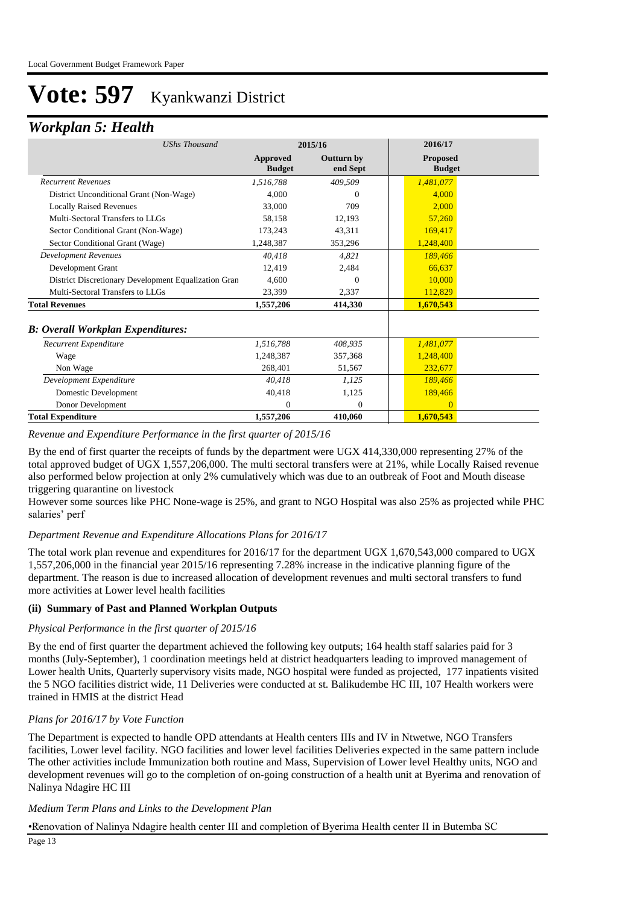### *Workplan 5: Health*

| <b>UShs Thousand</b>                                 | 2015/16                   |                               | 2016/17                          |
|------------------------------------------------------|---------------------------|-------------------------------|----------------------------------|
|                                                      | Approved<br><b>Budget</b> | <b>Outturn by</b><br>end Sept | <b>Proposed</b><br><b>Budget</b> |
| <b>Recurrent Revenues</b>                            | 1,516,788                 | 409,509                       | 1,481,077                        |
| District Unconditional Grant (Non-Wage)              | 4.000                     | 0                             | 4,000                            |
| <b>Locally Raised Revenues</b>                       | 33,000                    | 709                           | 2.000                            |
| Multi-Sectoral Transfers to LLGs                     | 58,158                    | 12,193                        | 57,260                           |
| Sector Conditional Grant (Non-Wage)                  | 173,243                   | 43,311                        | 169,417                          |
| Sector Conditional Grant (Wage)                      | 1,248,387                 | 353,296                       | 1,248,400                        |
| Development Revenues                                 | 40,418                    | 4,821                         | 189,466                          |
| Development Grant                                    | 12,419                    | 2,484                         | 66,637                           |
| District Discretionary Development Equalization Gran | 4,600                     | 0                             | 10,000                           |
| Multi-Sectoral Transfers to LLGs                     | 23,399                    | 2,337                         | 112,829                          |
| <b>Total Revenues</b>                                | 1,557,206                 | 414,330                       | 1,670,543                        |
| <b>B: Overall Workplan Expenditures:</b>             |                           |                               |                                  |
| Recurrent Expenditure                                | 1,516,788                 | 408.935                       | 1,481,077                        |
| Wage                                                 | 1,248,387                 | 357,368                       | 1,248,400                        |
| Non Wage                                             | 268,401                   | 51,567                        | 232,677                          |
| Development Expenditure                              | 40,418                    | 1,125                         | 189,466                          |
| Domestic Development                                 | 40,418                    | 1,125                         | 189,466                          |
| Donor Development                                    | $\Omega$                  | $\overline{0}$                | $\Omega$                         |
| <b>Total Expenditure</b>                             | 1,557,206                 | 410,060                       | 1,670,543                        |

*Revenue and Expenditure Performance in the first quarter of 2015/16*

By the end of first quarter the receipts of funds by the department were UGX 414,330,000 representing 27% of the total approved budget of UGX 1,557,206,000. The multi sectoral transfers were at 21%, while Locally Raised revenue also performed below projection at only 2% cumulatively which was due to an outbreak of Foot and Mouth disease triggering quarantine on livestock

However some sources like PHC None-wage is 25%, and grant to NGO Hospital was also 25% as projected while PHC salaries' perf

#### *Department Revenue and Expenditure Allocations Plans for 2016/17*

The total work plan revenue and expenditures for 2016/17 for the department UGX 1,670,543,000 compared to UGX 1,557,206,000 in the financial year 2015/16 representing 7.28% increase in the indicative planning figure of the department. The reason is due to increased allocation of development revenues and multi sectoral transfers to fund more activities at Lower level health facilities

#### **(ii) Summary of Past and Planned Workplan Outputs**

#### *Physical Performance in the first quarter of 2015/16*

By the end of first quarter the department achieved the following key outputs; 164 health staff salaries paid for 3 months (July-September), 1 coordination meetings held at district headquarters leading to improved management of Lower health Units, Quarterly supervisory visits made, NGO hospital were funded as projected, 177 inpatients visited the 5 NGO facilities district wide, 11 Deliveries were conducted at st. Balikudembe HC III, 107 Health workers were trained in HMIS at the district Head

#### *Plans for 2016/17 by Vote Function*

The Department is expected to handle OPD attendants at Health centers IIIs and IV in Ntwetwe, NGO Transfers facilities, Lower level facility. NGO facilities and lower level facilities Deliveries expected in the same pattern include The other activities include Immunization both routine and Mass, Supervision of Lower level Healthy units, NGO and development revenues will go to the completion of on-going construction of a health unit at Byerima and renovation of Nalinya Ndagire HC III

#### *Medium Term Plans and Links to the Development Plan*

#### • Renovation of Nalinya Ndagire health center III and completion of Byerima Health center II in Butemba SC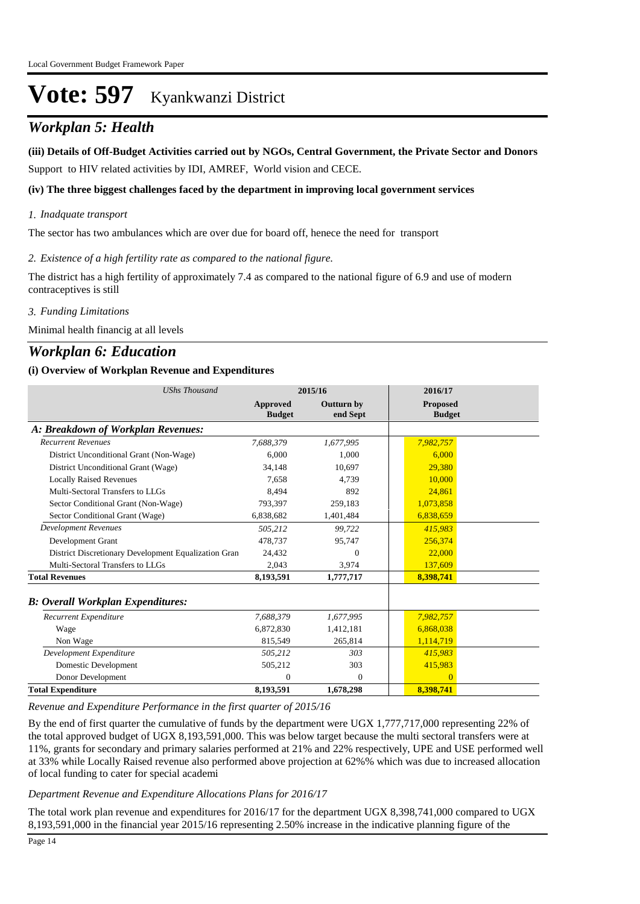## *Workplan 5: Health*

#### **(iii) Details of Off-Budget Activities carried out by NGOs, Central Government, the Private Sector and Donors**

Support to HIV related activities by IDI, AMREF, World vision and CECE.

#### **(iv) The three biggest challenges faced by the department in improving local government services**

#### *Inadquate transport 1.*

The sector has two ambulances which are over due for board off, henece the need for transport

#### *Existence of a high fertility rate as compared to the national figure. 2.*

The district has a high fertility of approximately 7.4 as compared to the national figure of 6.9 and use of modern contraceptives is still

#### *Funding Limitations 3.*

Minimal health financig at all levels

### *Workplan 6: Education*

#### **(i) Overview of Workplan Revenue and Expenditures**

| <b>UShs Thousand</b>                                 | 2015/16                   |                               | 2016/17                          |
|------------------------------------------------------|---------------------------|-------------------------------|----------------------------------|
|                                                      | Approved<br><b>Budget</b> | <b>Outturn by</b><br>end Sept | <b>Proposed</b><br><b>Budget</b> |
| A: Breakdown of Workplan Revenues:                   |                           |                               |                                  |
| <b>Recurrent Revenues</b>                            | 7.688.379                 | 1,677,995                     | 7,982,757                        |
| District Unconditional Grant (Non-Wage)              | 6.000                     | 1,000                         | 6.000                            |
| District Unconditional Grant (Wage)                  | 34,148                    | 10,697                        | 29.380                           |
| <b>Locally Raised Revenues</b>                       | 7,658                     | 4.739                         | 10,000                           |
| Multi-Sectoral Transfers to LLGs                     | 8.494                     | 892                           | 24,861                           |
| Sector Conditional Grant (Non-Wage)                  | 793,397                   | 259,183                       | 1,073,858                        |
| Sector Conditional Grant (Wage)                      | 6,838,682                 | 1,401,484                     | 6,838,659                        |
| <b>Development Revenues</b>                          | 505,212                   | 99,722                        | 415,983                          |
| Development Grant                                    | 478,737                   | 95,747                        | 256,374                          |
| District Discretionary Development Equalization Gran | 24,432                    | 0                             | 22,000                           |
| Multi-Sectoral Transfers to LLGs                     | 2,043                     | 3,974                         | 137,609                          |
| <b>Total Revenues</b>                                | 8,193,591                 | 1,777,717                     | 8,398,741                        |
| <b>B</b> : Overall Workplan Expenditures:            |                           |                               |                                  |
| Recurrent Expenditure                                | 7,688,379                 | 1,677,995                     | 7,982,757                        |
| Wage                                                 | 6,872,830                 | 1,412,181                     | 6,868,038                        |
| Non Wage                                             | 815,549                   | 265,814                       | 1,114,719                        |
| Development Expenditure                              | 505.212                   | 303                           | 415.983                          |
| Domestic Development                                 | 505,212                   | 303                           | 415,983                          |
| Donor Development                                    | $\overline{0}$            | $\mathbf{0}$                  | $\overline{0}$                   |
| <b>Total Expenditure</b>                             | 8,193,591                 | 1,678,298                     | 8,398,741                        |

*Revenue and Expenditure Performance in the first quarter of 2015/16*

By the end of first quarter the cumulative of funds by the department were UGX 1,777,717,000 representing 22% of the total approved budget of UGX 8,193,591,000. This was below target because the multi sectoral transfers were at 11%, grants for secondary and primary salaries performed at 21% and 22% respectively, UPE and USE performed well at 33% while Locally Raised revenue also performed above projection at 62%% which was due to increased allocation of local funding to cater for special academi

#### *Department Revenue and Expenditure Allocations Plans for 2016/17*

The total work plan revenue and expenditures for 2016/17 for the department UGX 8,398,741,000 compared to UGX 8,193,591,000 in the financial year 2015/16 representing 2.50% increase in the indicative planning figure of the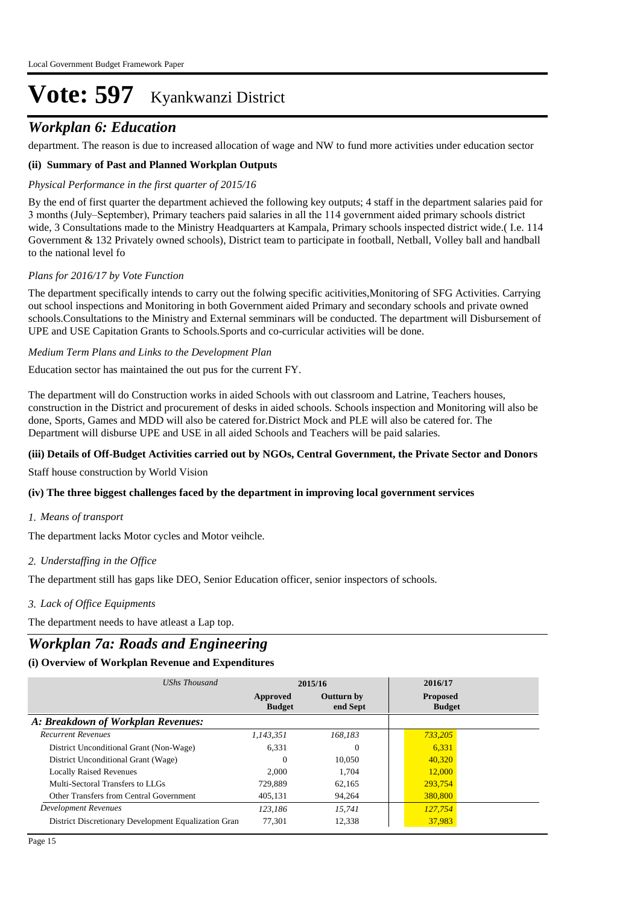### *Workplan 6: Education*

department. The reason is due to increased allocation of wage and NW to fund more activities under education sector

#### **(ii) Summary of Past and Planned Workplan Outputs**

#### *Physical Performance in the first quarter of 2015/16*

By the end of first quarter the department achieved the following key outputs; 4 staff in the department salaries paid for 3 months (July–September), Primary teachers paid salaries in all the 114 government aided primary schools district wide, 3 Consultations made to the Ministry Headquarters at Kampala, Primary schools inspected district wide.( I.e. 114 Government & 132 Privately owned schools), District team to participate in football, Netball, Volley ball and handball to the national level fo

#### *Plans for 2016/17 by Vote Function*

The department specifically intends to carry out the folwing specific acitivities,Monitoring of SFG Activities. Carrying out school inspections and Monitoring in both Government aided Primary and secondary schools and private owned schools.Consultations to the Ministry and External semminars will be conducted. The department will Disbursement of UPE and USE Capitation Grants to Schools.Sports and co-curricular activities will be done.

#### *Medium Term Plans and Links to the Development Plan*

Education sector has maintained the out pus for the current FY.

The department will do Construction works in aided Schools with out classroom and Latrine, Teachers houses, construction in the District and procurement of desks in aided schools. Schools inspection and Monitoring will also be done, Sports, Games and MDD will also be catered for.District Mock and PLE will also be catered for. The Department will disburse UPE and USE in all aided Schools and Teachers will be paid salaries.

#### **(iii) Details of Off-Budget Activities carried out by NGOs, Central Government, the Private Sector and Donors**

Staff house construction by World Vision

#### **(iv) The three biggest challenges faced by the department in improving local government services**

#### *Means of transport 1.*

The department lacks Motor cycles and Motor veihcle.

#### *Understaffing in the Office 2.*

The department still has gaps like DEO, Senior Education officer, senior inspectors of schools.

#### *Lack of Office Equipments 3.*

The department needs to have atleast a Lap top.

### *Workplan 7a: Roads and Engineering*

| UShs Thousand                                        | 2015/16                   |                               | 2016/17                          |
|------------------------------------------------------|---------------------------|-------------------------------|----------------------------------|
|                                                      | Approved<br><b>Budget</b> | <b>Outturn by</b><br>end Sept | <b>Proposed</b><br><b>Budget</b> |
| A: Breakdown of Workplan Revenues:                   |                           |                               |                                  |
| <b>Recurrent Revenues</b>                            | 1,143,351                 | 168.183                       | 733,205                          |
| District Unconditional Grant (Non-Wage)              | 6.331                     | $\Omega$                      | 6,331                            |
| District Unconditional Grant (Wage)                  | $\Omega$                  | 10,050                        | 40,320                           |
| <b>Locally Raised Revenues</b>                       | 2.000                     | 1.704                         | 12,000                           |
| Multi-Sectoral Transfers to LLGs                     | 729.889                   | 62,165                        | 293,754                          |
| Other Transfers from Central Government              | 405.131                   | 94.264                        | 380,800                          |
| <b>Development Revenues</b>                          | 123.186                   | 15.741                        | 127,754                          |
| District Discretionary Development Equalization Gran | 77.301                    | 12,338                        | 37,983                           |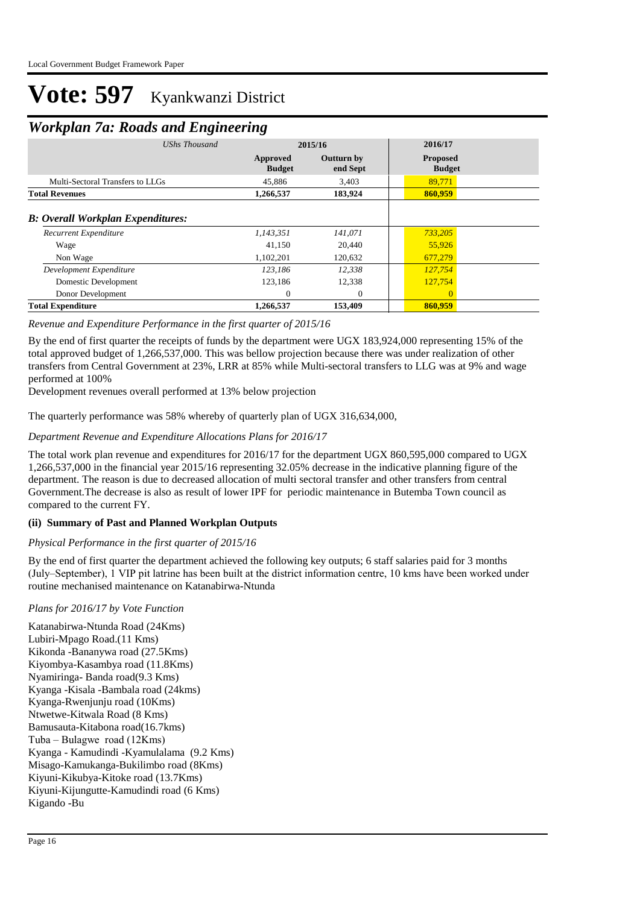### *Workplan 7a: Roads and Engineering*

| ┻                                        | ິ             | ິ                         |                               |                                  |  |
|------------------------------------------|---------------|---------------------------|-------------------------------|----------------------------------|--|
|                                          | UShs Thousand | 2015/16                   |                               | 2016/17                          |  |
|                                          |               | Approved<br><b>Budget</b> | <b>Outturn by</b><br>end Sept | <b>Proposed</b><br><b>Budget</b> |  |
| Multi-Sectoral Transfers to LLGs         |               | 45,886                    | 3,403                         | 89,771                           |  |
| <b>Total Revenues</b>                    |               | 1,266,537                 | 183,924                       | 860,959                          |  |
| <b>B: Overall Workplan Expenditures:</b> |               |                           |                               |                                  |  |
| <b>Recurrent Expenditure</b>             |               | 1,143,351                 | 141,071                       | 733,205                          |  |
| Wage                                     |               | 41,150                    | 20,440                        | 55,926                           |  |
| Non Wage                                 |               | 1,102,201                 | 120,632                       | 677,279                          |  |
| Development Expenditure                  |               | 123.186                   | 12.338                        | 127,754                          |  |
| Domestic Development                     |               | 123,186                   | 12,338                        | 127,754                          |  |
| Donor Development                        |               | $\Omega$                  | $\Omega$                      | $\Omega$                         |  |
| <b>Total Expenditure</b>                 |               | 1,266,537                 | 153,409                       | 860,959                          |  |

#### *Revenue and Expenditure Performance in the first quarter of 2015/16*

By the end of first quarter the receipts of funds by the department were UGX 183,924,000 representing 15% of the total approved budget of 1,266,537,000. This was bellow projection because there was under realization of other transfers from Central Government at 23%, LRR at 85% while Multi-sectoral transfers to LLG was at 9% and wage performed at 100%

Development revenues overall performed at 13% below projection

The quarterly performance was 58% whereby of quarterly plan of UGX 316,634,000,

#### *Department Revenue and Expenditure Allocations Plans for 2016/17*

The total work plan revenue and expenditures for 2016/17 for the department UGX 860,595,000 compared to UGX 1,266,537,000 in the financial year 2015/16 representing 32.05% decrease in the indicative planning figure of the department. The reason is due to decreased allocation of multi sectoral transfer and other transfers from central Government.The decrease is also as result of lower IPF for periodic maintenance in Butemba Town council as compared to the current FY.

#### **(ii) Summary of Past and Planned Workplan Outputs**

#### *Physical Performance in the first quarter of 2015/16*

By the end of first quarter the department achieved the following key outputs; 6 staff salaries paid for 3 months (July–September), 1 VIP pit latrine has been built at the district information centre, 10 kms have been worked under routine mechanised maintenance on Katanabirwa-Ntunda

#### *Plans for 2016/17 by Vote Function*

Katanabirwa-Ntunda Road (24Kms) Lubiri-Mpago Road.(11 Kms) Kikonda -Bananywa road (27.5Kms) Kiyombya-Kasambya road (11.8Kms) Nyamiringa- Banda road(9.3 Kms) Kyanga -Kisala -Bambala road (24kms) Kyanga-Rwenjunju road (10Kms) Ntwetwe-Kitwala Road (8 Kms) Bamusauta-Kitabona road(16.7kms) Tuba – Bulagwe road (12Kms) Kyanga - Kamudindi -Kyamulalama (9.2 Kms) Misago-Kamukanga-Bukilimbo road (8Kms) Kiyuni-Kikubya-Kitoke road (13.7Kms) Kiyuni-Kijungutte-Kamudindi road (6 Kms) Kigando -Bu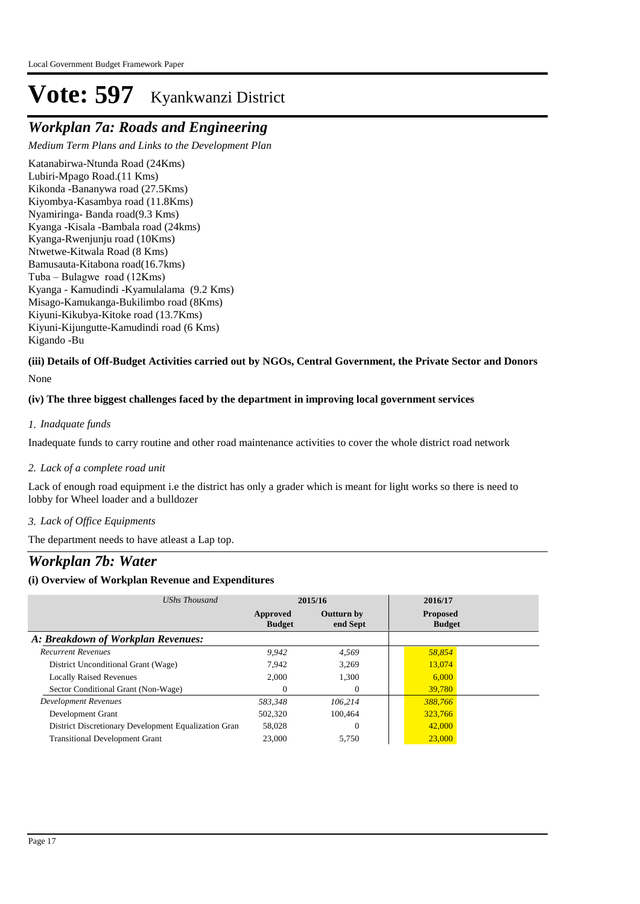## *Workplan 7a: Roads and Engineering*

*Medium Term Plans and Links to the Development Plan*

Katanabirwa-Ntunda Road (24Kms) Lubiri-Mpago Road.(11 Kms) Kikonda -Bananywa road (27.5Kms) Kiyombya-Kasambya road (11.8Kms) Nyamiringa- Banda road(9.3 Kms) Kyanga -Kisala -Bambala road (24kms) Kyanga-Rwenjunju road (10Kms) Ntwetwe-Kitwala Road (8 Kms) Bamusauta-Kitabona road(16.7kms) Tuba – Bulagwe road (12Kms) Kyanga - Kamudindi -Kyamulalama (9.2 Kms) Misago-Kamukanga-Bukilimbo road (8Kms) Kiyuni-Kikubya-Kitoke road (13.7Kms) Kiyuni-Kijungutte-Kamudindi road (6 Kms) Kigando -Bu

None **(iii) Details of Off-Budget Activities carried out by NGOs, Central Government, the Private Sector and Donors** 

### **(iv) The three biggest challenges faced by the department in improving local government services**

#### *Inadquate funds 1.*

Inadequate funds to carry routine and other road maintenance activities to cover the whole district road network

#### *Lack of a complete road unit 2.*

Lack of enough road equipment i.e the district has only a grader which is meant for light works so there is need to lobby for Wheel loader and a bulldozer

#### *Lack of Office Equipments 3.*

The department needs to have atleast a Lap top.

### *Workplan 7b: Water*

| UShs Thousand                                        | 2015/16                   |                               | 2016/17                          |
|------------------------------------------------------|---------------------------|-------------------------------|----------------------------------|
|                                                      | Approved<br><b>Budget</b> | <b>Outturn by</b><br>end Sept | <b>Proposed</b><br><b>Budget</b> |
| A: Breakdown of Workplan Revenues:                   |                           |                               |                                  |
| <b>Recurrent Revenues</b>                            | 9,942                     | 4,569                         | 58,854                           |
| District Unconditional Grant (Wage)                  | 7.942                     | 3,269                         | 13,074                           |
| <b>Locally Raised Revenues</b>                       | 2.000                     | 1,300                         | 6.000                            |
| Sector Conditional Grant (Non-Wage)                  |                           | 0                             | 39,780                           |
| <b>Development Revenues</b>                          | 583.348                   | 106.214                       | 388,766                          |
| Development Grant                                    | 502,320                   | 100.464                       | 323,766                          |
| District Discretionary Development Equalization Gran | 58,028                    | 0                             | 42,000                           |
| <b>Transitional Development Grant</b>                | 23,000                    | 5,750                         | 23,000                           |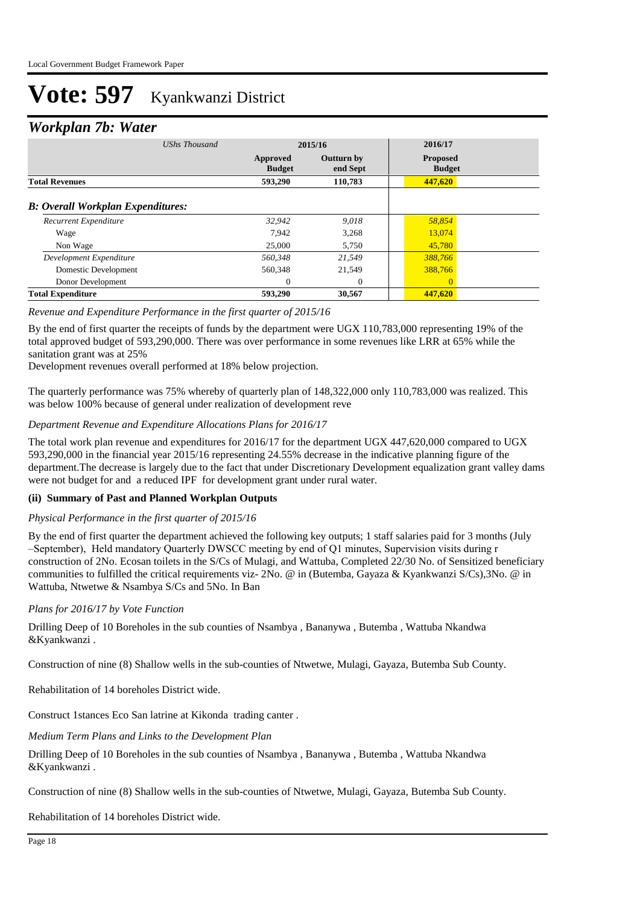### *Workplan 7b: Water*

| -<br>UShs Thousand                       |                           | 2015/16                       |                                  |  |
|------------------------------------------|---------------------------|-------------------------------|----------------------------------|--|
|                                          | Approved<br><b>Budget</b> | <b>Outturn by</b><br>end Sept | <b>Proposed</b><br><b>Budget</b> |  |
| <b>Total Revenues</b>                    | 593.290                   | 110,783                       | 447,620                          |  |
| <b>B:</b> Overall Workplan Expenditures: |                           |                               |                                  |  |
| Recurrent Expenditure                    | 32,942                    | 9,018                         | 58,854                           |  |
| Wage                                     | 7.942                     | 3.268                         | 13,074                           |  |
| Non Wage                                 | 25,000                    | 5,750                         | 45,780                           |  |
| Development Expenditure                  | 560.348                   | 21.549                        | 388,766                          |  |
| Domestic Development                     | 560,348                   | 21,549                        | 388,766                          |  |
| Donor Development                        | $\Omega$                  | $\Omega$                      | $\Omega$                         |  |
| <b>Total Expenditure</b>                 | 593,290                   | 30,567                        | 447,620                          |  |

#### *Revenue and Expenditure Performance in the first quarter of 2015/16*

By the end of first quarter the receipts of funds by the department were UGX 110,783,000 representing 19% of the total approved budget of 593,290,000. There was over performance in some revenues like LRR at 65% while the sanitation grant was at 25%

Development revenues overall performed at 18% below projection.

The quarterly performance was 75% whereby of quarterly plan of 148,322,000 only 110,783,000 was realized. This was below 100% because of general under realization of development reve

#### *Department Revenue and Expenditure Allocations Plans for 2016/17*

The total work plan revenue and expenditures for 2016/17 for the department UGX 447,620,000 compared to UGX 593,290,000 in the financial year 2015/16 representing 24.55% decrease in the indicative planning figure of the department.The decrease is largely due to the fact that under Discretionary Development equalization grant valley dams were not budget for and a reduced IPF for development grant under rural water.

#### **(ii) Summary of Past and Planned Workplan Outputs**

#### *Physical Performance in the first quarter of 2015/16*

By the end of first quarter the department achieved the following key outputs; 1 staff salaries paid for 3 months (July –September), Held mandatory Quarterly DWSCC meeting by end of Q1 minutes, Supervision visits during r construction of 2No. Ecosan toilets in the S/Cs of Mulagi, and Wattuba, Completed 22/30 No. of Sensitized beneficiary communities to fulfilled the critical requirements viz- 2No. @ in (Butemba, Gayaza & Kyankwanzi S/Cs),3No. @ in Wattuba, Ntwetwe & Nsambya S/Cs and 5No. In Ban

#### *Plans for 2016/17 by Vote Function*

Drilling Deep of 10 Boreholes in the sub counties of Nsambya , Bananywa , Butemba , Wattuba Nkandwa &Kyankwanzi .

Construction of nine (8) Shallow wells in the sub-counties of Ntwetwe, Mulagi, Gayaza, Butemba Sub County.

Rehabilitation of 14 boreholes District wide.

Construct 1stances Eco San latrine at Kikonda trading canter .

*Medium Term Plans and Links to the Development Plan*

Drilling Deep of 10 Boreholes in the sub counties of Nsambya , Bananywa , Butemba , Wattuba Nkandwa &Kyankwanzi .

Construction of nine (8) Shallow wells in the sub-counties of Ntwetwe, Mulagi, Gayaza, Butemba Sub County.

Rehabilitation of 14 boreholes District wide.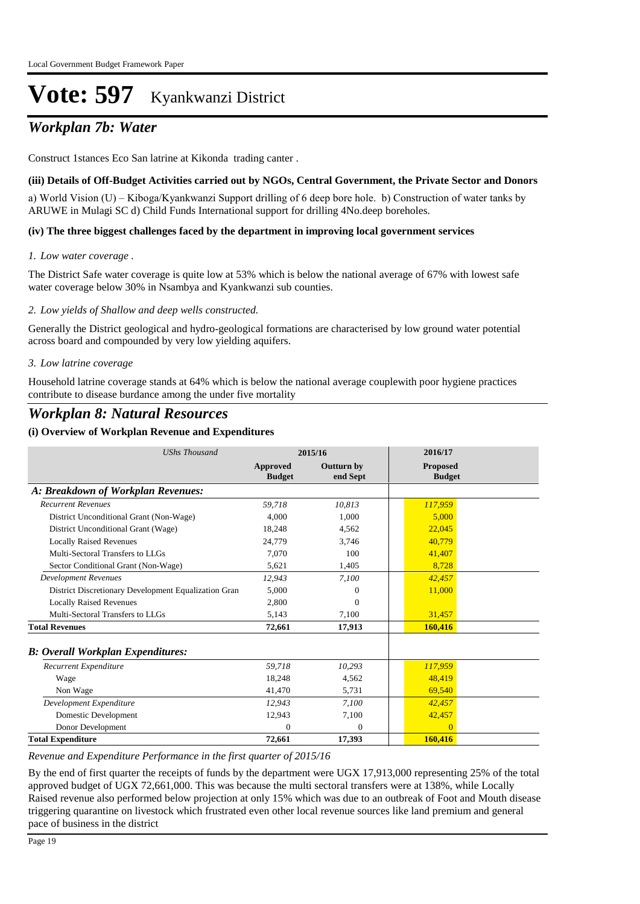## *Workplan 7b: Water*

Construct 1stances Eco San latrine at Kikonda trading canter .

#### **(iii) Details of Off-Budget Activities carried out by NGOs, Central Government, the Private Sector and Donors**

a) World Vision (U) – Kiboga/Kyankwanzi Support drilling of 6 deep bore hole. b) Construction of water tanks by ARUWE in Mulagi SC d) Child Funds International support for drilling 4No.deep boreholes.

#### **(iv) The three biggest challenges faced by the department in improving local government services**

#### *Low water coverage . 1.*

The District Safe water coverage is quite low at 53% which is below the national average of 67% with lowest safe water coverage below 30% in Nsambya and Kyankwanzi sub counties.

#### *Low yields of Shallow and deep wells constructed. 2.*

Generally the District geological and hydro-geological formations are characterised by low ground water potential across board and compounded by very low yielding aquifers.

#### *Low latrine coverage 3.*

Household latrine coverage stands at 64% which is below the national average couplewith poor hygiene practices contribute to disease burdance among the under five mortality

### *Workplan 8: Natural Resources*

#### **(i) Overview of Workplan Revenue and Expenditures**

| <b>UShs Thousand</b>                                 | 2015/16                          |                               | 2016/17                          |
|------------------------------------------------------|----------------------------------|-------------------------------|----------------------------------|
|                                                      | <b>Approved</b><br><b>Budget</b> | <b>Outturn by</b><br>end Sept | <b>Proposed</b><br><b>Budget</b> |
| A: Breakdown of Workplan Revenues:                   |                                  |                               |                                  |
| <b>Recurrent Revenues</b>                            | 59.718                           | 10,813                        | 117,959                          |
| District Unconditional Grant (Non-Wage)              | 4.000                            | 1.000                         | 5.000                            |
| District Unconditional Grant (Wage)                  | 18,248                           | 4,562                         | 22,045                           |
| <b>Locally Raised Revenues</b>                       | 24.779                           | 3,746                         | 40,779                           |
| Multi-Sectoral Transfers to LLGs                     | 7.070                            | 100                           | 41,407                           |
| Sector Conditional Grant (Non-Wage)                  | 5,621                            | 1,405                         | 8,728                            |
| <b>Development Revenues</b>                          | 12,943                           | 7,100                         | 42,457                           |
| District Discretionary Development Equalization Gran | 5,000                            | $\Omega$                      | 11,000                           |
| <b>Locally Raised Revenues</b>                       | 2,800                            | $\Omega$                      |                                  |
| Multi-Sectoral Transfers to LLGs                     | 5.143                            | 7,100                         | 31,457                           |
| <b>Total Revenues</b>                                | 72,661                           | 17,913                        | 160,416                          |
| <b>B</b> : Overall Workplan Expenditures:            |                                  |                               |                                  |
| Recurrent Expenditure                                | 59,718                           | 10,293                        | 117,959                          |
| Wage                                                 | 18,248                           | 4,562                         | 48.419                           |
| Non Wage                                             | 41,470                           | 5,731                         | 69,540                           |
| Development Expenditure                              | 12.943                           | 7.100                         | 42,457                           |
| Domestic Development                                 | 12,943                           | 7,100                         | 42,457                           |
| Donor Development                                    | $\mathbf{0}$                     | $\mathbf{0}$                  | $\overline{0}$                   |
| <b>Total Expenditure</b>                             | 72,661                           | 17,393                        | 160,416                          |

#### *Revenue and Expenditure Performance in the first quarter of 2015/16*

By the end of first quarter the receipts of funds by the department were UGX 17,913,000 representing 25% of the total approved budget of UGX 72,661,000. This was because the multi sectoral transfers were at 138%, while Locally Raised revenue also performed below projection at only 15% which was due to an outbreak of Foot and Mouth disease triggering quarantine on livestock which frustrated even other local revenue sources like land premium and general pace of business in the district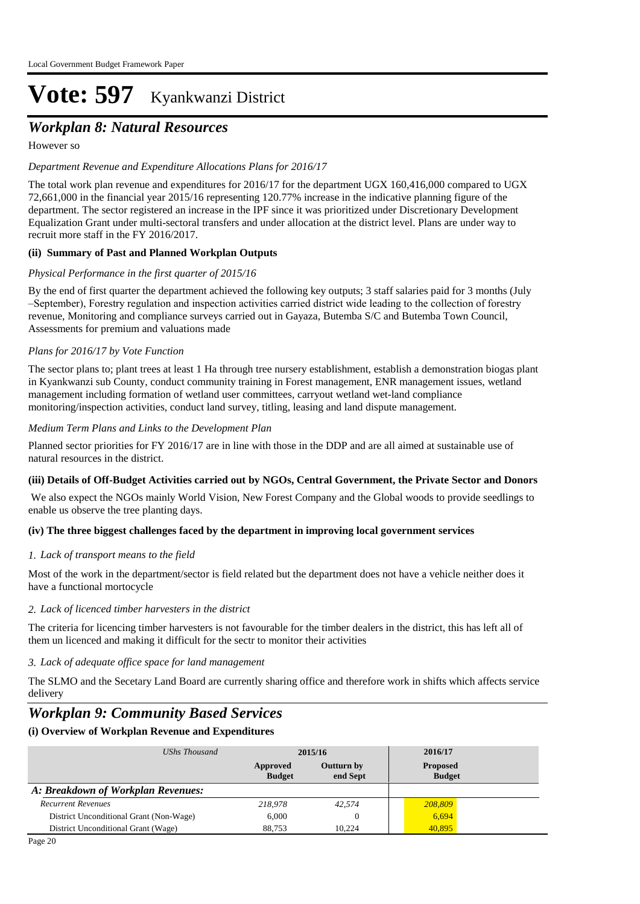## *Workplan 8: Natural Resources*

However so

#### *Department Revenue and Expenditure Allocations Plans for 2016/17*

The total work plan revenue and expenditures for 2016/17 for the department UGX 160,416,000 compared to UGX 72,661,000 in the financial year 2015/16 representing 120.77% increase in the indicative planning figure of the department. The sector registered an increase in the IPF since it was prioritized under Discretionary Development Equalization Grant under multi-sectoral transfers and under allocation at the district level. Plans are under way to recruit more staff in the FY 2016/2017.

#### **(ii) Summary of Past and Planned Workplan Outputs**

#### *Physical Performance in the first quarter of 2015/16*

By the end of first quarter the department achieved the following key outputs; 3 staff salaries paid for 3 months (July –September), Forestry regulation and inspection activities carried district wide leading to the collection of forestry revenue, Monitoring and compliance surveys carried out in Gayaza, Butemba S/C and Butemba Town Council, Assessments for premium and valuations made

#### *Plans for 2016/17 by Vote Function*

The sector plans to; plant trees at least 1 Ha through tree nursery establishment, establish a demonstration biogas plant in Kyankwanzi sub County, conduct community training in Forest management, ENR management issues, wetland management including formation of wetland user committees, carryout wetland wet-land compliance monitoring/inspection activities, conduct land survey, titling, leasing and land dispute management.

#### *Medium Term Plans and Links to the Development Plan*

Planned sector priorities for FY 2016/17 are in line with those in the DDP and are all aimed at sustainable use of natural resources in the district.

#### **(iii) Details of Off-Budget Activities carried out by NGOs, Central Government, the Private Sector and Donors**

We also expect the NGOs mainly World Vision, New Forest Company and the Global woods to provide seedlings to enable us observe the tree planting days.

#### **(iv) The three biggest challenges faced by the department in improving local government services**

#### *Lack of transport means to the field 1.*

Most of the work in the department/sector is field related but the department does not have a vehicle neither does it have a functional mortocycle

#### *Lack of licenced timber harvesters in the district 2.*

The criteria for licencing timber harvesters is not favourable for the timber dealers in the district, this has left all of them un licenced and making it difficult for the sectr to monitor their activities

*Lack of adequate office space for land management 3.*

The SLMO and the Secetary Land Board are currently sharing office and therefore work in shifts which affects service delivery

### *Workplan 9: Community Based Services*

| UShs Thousand                           | 2015/16                   |                               | 2016/17                          |
|-----------------------------------------|---------------------------|-------------------------------|----------------------------------|
|                                         | Approved<br><b>Budget</b> | <b>Outturn by</b><br>end Sept | <b>Proposed</b><br><b>Budget</b> |
| A: Breakdown of Workplan Revenues:      |                           |                               |                                  |
| <b>Recurrent Revenues</b>               | 218,978                   | 42.574                        | 208,809                          |
| District Unconditional Grant (Non-Wage) | 6.000                     |                               | 6,694                            |
| District Unconditional Grant (Wage)     | 88.753                    | 10.224                        | 40.895                           |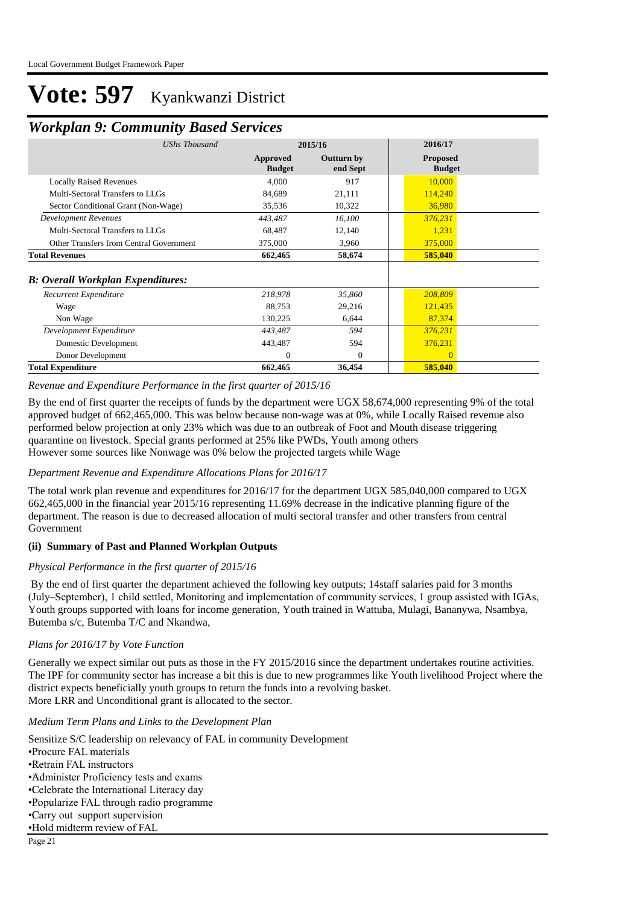## *Workplan 9: Community Based Services*

|                           |                               | 2016/17                          |
|---------------------------|-------------------------------|----------------------------------|
| Approved<br><b>Budget</b> | <b>Outturn by</b><br>end Sept | <b>Proposed</b><br><b>Budget</b> |
| 4,000                     | 917                           | 10,000                           |
| 84,689                    | 21,111                        | 114,240                          |
| 35,536                    | 10,322                        | 36,980                           |
| 443,487                   | 16,100                        | 376,231                          |
| 68,487                    | 12,140                        | 1,231                            |
| 375,000                   | 3,960                         | 375,000                          |
| 662,465                   | 58,674                        | 585,040                          |
|                           |                               |                                  |
| 218,978                   | 35,860                        | 208,809                          |
| 88,753                    | 29,216                        | 121,435                          |
| 130,225                   | 6,644                         | 87,374                           |
| 443,487                   | 594                           | 376,231                          |
| 443,487                   | 594                           | 376,231                          |
| $\Omega$                  | $\Omega$                      |                                  |
| 662,465                   | 36,454                        | 585,040                          |
|                           |                               | 2015/16                          |

*Revenue and Expenditure Performance in the first quarter of 2015/16*

By the end of first quarter the receipts of funds by the department were UGX 58,674,000 representing 9% of the total approved budget of 662,465,000. This was below because non-wage was at 0%, while Locally Raised revenue also performed below projection at only 23% which was due to an outbreak of Foot and Mouth disease triggering quarantine on livestock. Special grants performed at 25% like PWDs, Youth among others However some sources like Nonwage was 0% below the projected targets while Wage

#### *Department Revenue and Expenditure Allocations Plans for 2016/17*

The total work plan revenue and expenditures for 2016/17 for the department UGX 585,040,000 compared to UGX 662,465,000 in the financial year 2015/16 representing 11.69% decrease in the indicative planning figure of the department. The reason is due to decreased allocation of multi sectoral transfer and other transfers from central Government

#### **(ii) Summary of Past and Planned Workplan Outputs**

#### *Physical Performance in the first quarter of 2015/16*

 By the end of first quarter the department achieved the following key outputs; 14staff salaries paid for 3 months (July–September), 1 child settled, Monitoring and implementation of community services, 1 group assisted with IGAs, Youth groups supported with loans for income generation, Youth trained in Wattuba, Mulagi, Bananywa, Nsambya, Butemba s/c, Butemba T/C and Nkandwa,

#### *Plans for 2016/17 by Vote Function*

Generally we expect similar out puts as those in the FY 2015/2016 since the department undertakes routine activities. The IPF for community sector has increase a bit this is due to new programmes like Youth livelihood Project where the district expects beneficially youth groups to return the funds into a revolving basket. More LRR and Unconditional grant is allocated to the sector.

#### *Medium Term Plans and Links to the Development Plan*

Sensitize S/C leadership on relevancy of FAL in community Development • Procure FAL materials • Retrain FAL instructors • Administer Proficiency tests and exams • Celebrate the International Literacy day • Popularize FAL through radio programme • Carry out support supervision • Hold midterm review of FAL Page 21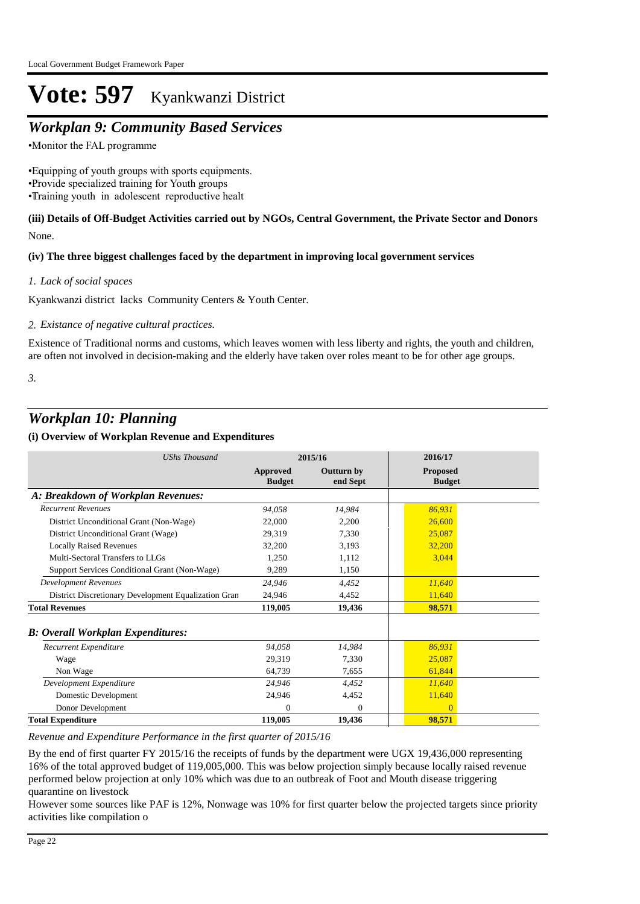## *Workplan 9: Community Based Services*

• Monitor the FAL programme

• Equipping of youth groups with sports equipments. • Provide specialized training for Youth groups •Training youth in adolescent reproductive healt

#### None. **(iii) Details of Off-Budget Activities carried out by NGOs, Central Government, the Private Sector and Donors**

#### **(iv) The three biggest challenges faced by the department in improving local government services**

*Lack of social spaces 1.*

Kyankwanzi district lacks Community Centers & Youth Center.

*Existance of negative cultural practices. 2.*

Existence of Traditional norms and customs, which leaves women with less liberty and rights, the youth and children, are often not involved in decision-making and the elderly have taken over roles meant to be for other age groups.

*3.*

### *Workplan 10: Planning*

#### **(i) Overview of Workplan Revenue and Expenditures**

| <b>UShs Thousand</b>                                 | 2015/16                   |                               | 2016/17                          |
|------------------------------------------------------|---------------------------|-------------------------------|----------------------------------|
|                                                      | Approved<br><b>Budget</b> | <b>Outturn by</b><br>end Sept | <b>Proposed</b><br><b>Budget</b> |
| A: Breakdown of Workplan Revenues:                   |                           |                               |                                  |
| <b>Recurrent Revenues</b>                            | 94.058                    | 14,984                        | 86,931                           |
| District Unconditional Grant (Non-Wage)              | 22,000                    | 2,200                         | 26,600                           |
| District Unconditional Grant (Wage)                  | 29,319                    | 7,330                         | 25,087                           |
| <b>Locally Raised Revenues</b>                       | 32,200                    | 3,193                         | 32,200                           |
| Multi-Sectoral Transfers to LLGs                     | 1.250                     | 1,112                         | 3,044                            |
| Support Services Conditional Grant (Non-Wage)        | 9,289                     | 1,150                         |                                  |
| <b>Development Revenues</b>                          | 24,946                    | 4.452                         | 11,640                           |
| District Discretionary Development Equalization Gran | 24.946                    | 4,452                         | 11,640                           |
| <b>Total Revenues</b>                                | 119,005                   | 19,436                        | 98,571                           |
| <b>B: Overall Workplan Expenditures:</b>             |                           |                               |                                  |
| Recurrent Expenditure                                | 94,058                    | 14.984                        | 86,931                           |
| Wage                                                 | 29.319                    | 7.330                         | 25,087                           |
| Non Wage                                             | 64,739                    | 7,655                         | 61,844                           |
| Development Expenditure                              | 24,946                    | 4.452                         | 11,640                           |
| Domestic Development                                 | 24,946                    | 4,452                         | 11,640                           |
| Donor Development                                    | $\Omega$                  | $\Omega$                      | $\Omega$                         |
| <b>Total Expenditure</b>                             | 119,005                   | 19,436                        | 98,571                           |

*Revenue and Expenditure Performance in the first quarter of 2015/16*

By the end of first quarter FY 2015/16 the receipts of funds by the department were UGX 19,436,000 representing 16% of the total approved budget of 119,005,000. This was below projection simply because locally raised revenue performed below projection at only 10% which was due to an outbreak of Foot and Mouth disease triggering quarantine on livestock

However some sources like PAF is 12%, Nonwage was 10% for first quarter below the projected targets since priority activities like compilation o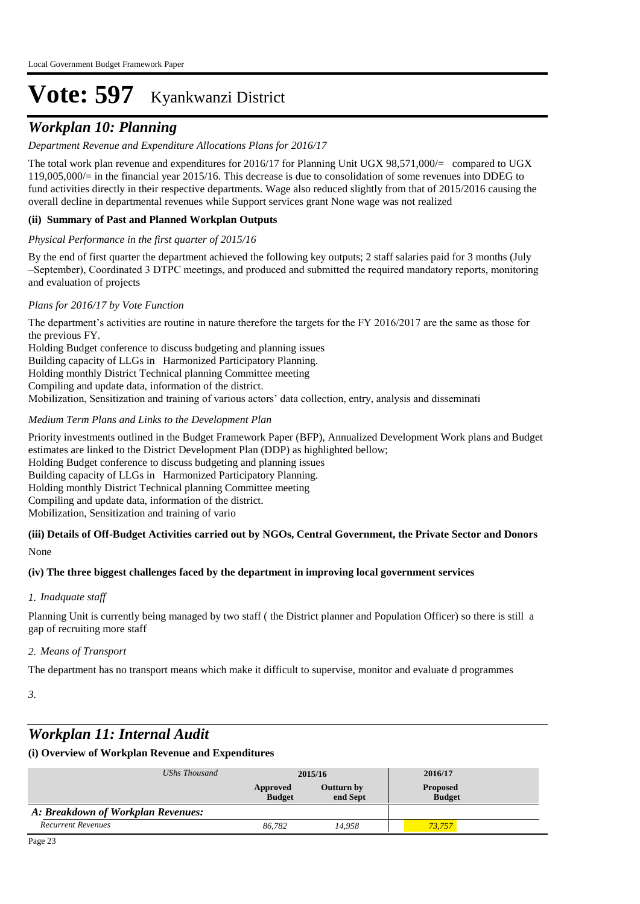## *Workplan 10: Planning*

#### *Department Revenue and Expenditure Allocations Plans for 2016/17*

The total work plan revenue and expenditures for 2016/17 for Planning Unit UGX 98,571,000/= compared to UGX 119,005,000/= in the financial year 2015/16. This decrease is due to consolidation of some revenues into DDEG to fund activities directly in their respective departments. Wage also reduced slightly from that of 2015/2016 causing the overall decline in departmental revenues while Support services grant None wage was not realized

#### **(ii) Summary of Past and Planned Workplan Outputs**

#### *Physical Performance in the first quarter of 2015/16*

By the end of first quarter the department achieved the following key outputs; 2 staff salaries paid for 3 months (July –September), Coordinated 3 DTPC meetings, and produced and submitted the required mandatory reports, monitoring and evaluation of projects

#### *Plans for 2016/17 by Vote Function*

The department's activities are routine in nature therefore the targets for the FY 2016/2017 are the same as those for the previous FY.

Holding Budget conference to discuss budgeting and planning issues Building capacity of LLGs in Harmonized Participatory Planning. Holding monthly District Technical planning Committee meeting Compiling and update data, information of the district. Mobilization, Sensitization and training of various actors' data collection, entry, analysis and disseminati

#### *Medium Term Plans and Links to the Development Plan*

Priority investments outlined in the Budget Framework Paper (BFP), Annualized Development Work plans and Budget estimates are linked to the District Development Plan (DDP) as highlighted bellow; Holding Budget conference to discuss budgeting and planning issues Building capacity of LLGs in Harmonized Participatory Planning. Holding monthly District Technical planning Committee meeting Compiling and update data, information of the district. Mobilization, Sensitization and training of vario

## **(iii) Details of Off-Budget Activities carried out by NGOs, Central Government, the Private Sector and Donors**

None

#### **(iv) The three biggest challenges faced by the department in improving local government services**

#### *Inadquate staff 1.*

Planning Unit is currently being managed by two staff ( the District planner and Population Officer) so there is still a gap of recruiting more staff

#### *Means of Transport 2.*

The department has no transport means which make it difficult to supervise, monitor and evaluate d programmes

*3.*

## *Workplan 11: Internal Audit*

| UShs Thousand                      | 2015/16                   |                        | 2016/17                          |  |
|------------------------------------|---------------------------|------------------------|----------------------------------|--|
|                                    | Approved<br><b>Budget</b> | Outturn by<br>end Sept | <b>Proposed</b><br><b>Budget</b> |  |
| A: Breakdown of Workplan Revenues: |                           |                        |                                  |  |
| <b>Recurrent Revenues</b>          | 86.782                    | 14.958                 | 73.757                           |  |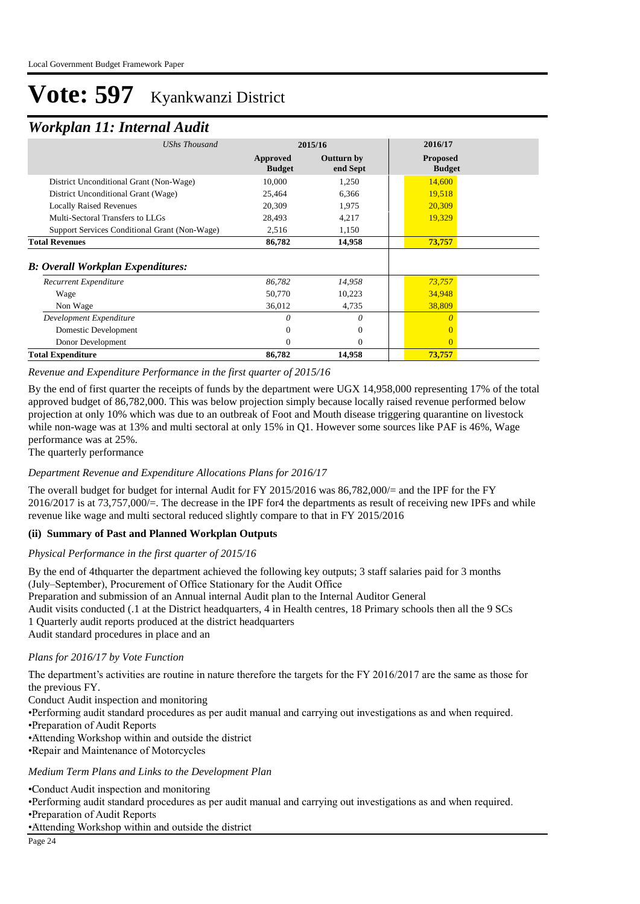### *Workplan 11: Internal Audit*

| <b>UShs Thousand</b>                          | 2015/16                   |                               | 2016/17                          |
|-----------------------------------------------|---------------------------|-------------------------------|----------------------------------|
|                                               | Approved<br><b>Budget</b> | <b>Outturn by</b><br>end Sept | <b>Proposed</b><br><b>Budget</b> |
| District Unconditional Grant (Non-Wage)       | 10,000                    | 1,250                         | 14,600                           |
| District Unconditional Grant (Wage)           | 25,464                    | 6,366                         | 19,518                           |
| <b>Locally Raised Revenues</b>                | 20,309                    | 1,975                         | 20,309                           |
| Multi-Sectoral Transfers to LLGs              | 28,493                    | 4,217                         | 19,329                           |
| Support Services Conditional Grant (Non-Wage) | 2,516                     | 1,150                         |                                  |
| <b>Total Revenues</b>                         | 86,782                    | 14,958                        | 73,757                           |
| <b>B: Overall Workplan Expenditures:</b>      |                           |                               |                                  |
| <b>Recurrent Expenditure</b>                  | 86,782                    | 14,958                        | 73,757                           |
| Wage                                          | 50,770                    | 10,223                        | 34,948                           |
| Non Wage                                      | 36,012                    | 4,735                         | 38,809                           |
| Development Expenditure                       | 0                         | 0                             |                                  |
| Domestic Development                          | $\Omega$                  | $\Omega$                      |                                  |
| Donor Development                             | $\Omega$                  | $\Omega$                      |                                  |
| <b>Total Expenditure</b>                      | 86,782                    | 14,958                        | 73,757                           |

*Revenue and Expenditure Performance in the first quarter of 2015/16*

By the end of first quarter the receipts of funds by the department were UGX 14,958,000 representing 17% of the total approved budget of 86,782,000. This was below projection simply because locally raised revenue performed below projection at only 10% which was due to an outbreak of Foot and Mouth disease triggering quarantine on livestock while non-wage was at 13% and multi sectoral at only 15% in Q1. However some sources like PAF is 46%, Wage performance was at 25%.

The quarterly performance

#### *Department Revenue and Expenditure Allocations Plans for 2016/17*

The overall budget for budget for internal Audit for FY 2015/2016 was 86,782,000/= and the IPF for the FY 2016/2017 is at 73,757,000/=. The decrease in the IPF for4 the departments as result of receiving new IPFs and while revenue like wage and multi sectoral reduced slightly compare to that in FY 2015/2016

#### **(ii) Summary of Past and Planned Workplan Outputs**

#### *Physical Performance in the first quarter of 2015/16*

By the end of 4thquarter the department achieved the following key outputs; 3 staff salaries paid for 3 months (July–September), Procurement of Office Stationary for the Audit Office Preparation and submission of an Annual internal Audit plan to the Internal Auditor General Audit visits conducted (.1 at the District headquarters, 4 in Health centres, 18 Primary schools then all the 9 SCs 1 Quarterly audit reports produced at the district headquarters Audit standard procedures in place and an

#### *Plans for 2016/17 by Vote Function*

 The department's activities are routine in nature therefore the targets for the FY 2016/2017 are the same as those for the previous FY.

Conduct Audit inspection and monitoring

• Performing audit standard procedures as per audit manual and carrying out investigations as and when required.

• Preparation of Audit Reports

- • Attending Workshop within and outside the district
- • Repair and Maintenance of Motorcycles

#### *Medium Term Plans and Links to the Development Plan*

• Conduct Audit inspection and monitoring

• Performing audit standard procedures as per audit manual and carrying out investigations as and when required.

- • Preparation of Audit Reports
- • Attending Workshop within and outside the district